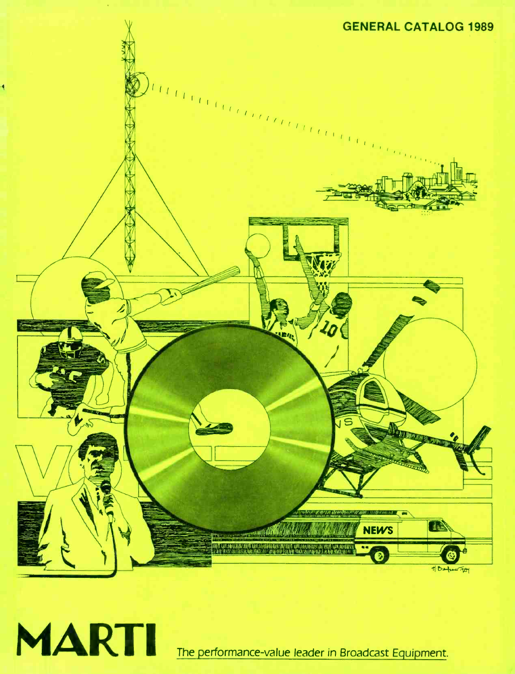



The performance-value leader in Broadcast Equipment.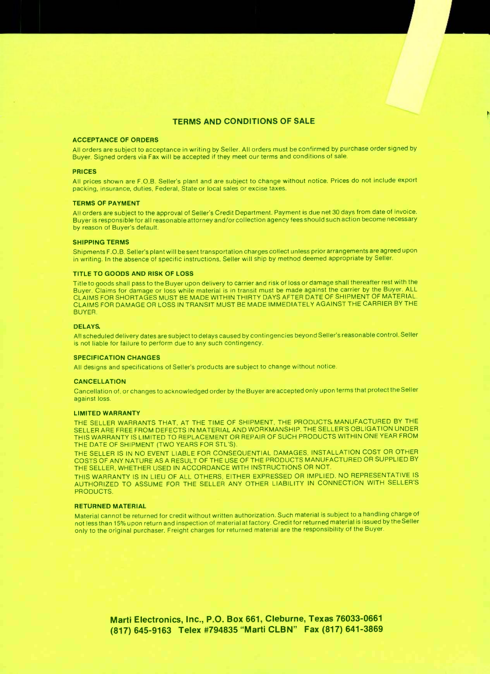#### TERMS AND CONDITIONS OF SALE

#### ACCEPTANCE OF ORDERS

All orders are subject to acceptance in writing by Seller. All orders must be confirmed by purchase order signed by Buyer. Signed orders via Fax will be accepted if they meet our terms and conditions of sale.

#### PRICES

All prices shown are F.O.B. Seller's plant and are subject to change without notice. Prices do not include export packing, insurance, duties, Federal, State or local sales or excise taxes.

#### TERMS OF PAYMENT

All orders are subject to the approval of Seller's Credit Department. Payment is due net 30 days from date of invoice. Buyer is responsible for all reasonable attorney and /or collection agency fees should such action become necessary by reason of Buyer's default.

#### SHIPPING TERMS

Shipments F.O.B. Seller's plant will be sent transportation charges collect unless prior arrangements are agreed upon in writing. In the absence of specific instructions, Seller will ship by method deemed appropriate by Seller.

#### TITLE TO GOODS AND RISK OF LOSS

Title to goods shall pass to the Buyer upon delivery to carrier and risk of loss or damage shall thereafter rest with the Buyer. Claims for damage or loss while material is in transit must be made against the carrier by the Buyer. ALL CLAIMS FOR SHORTAGES MUST BE MADE WITHIN THIRTY DAYS AFTER DATE OF SHIPMENT OF MATERIAL. CLAIMS FOR DAMAGE OR LOSS IN TRANSIT MUST BE MADE IMMEDIATELY AGAINST THE CARRIER BY THE BUYER.

#### DELAYS

All scheduled delivery dates are subject to delays caused by contingencies beyond Seller's reasonable control. Seller is not liable for failure to perform due to any such contingency.

#### SPECIFICATION CHANGES

All designs and specifications of Seller's products are subject to change without notice.

#### **CANCELLATION**

Cancellation of, or changes to acknowledged order by the Buyer are accepted only upon terms that protect the Seller against loss.

#### LIMITED WARRANTY

THE SELLER WARRANTS THAT, AT THE TIME OF SHIPMENT, THE PRODUCTS MANUFACTURED BY THE SELLER ARE FREE FROM DEFECTS IN MATERIAL AND WORKMANSHIP. THE SELLER'S OBLIGATION UNDER THIS WARRANTY IS LIMITED TO REPLACEMENT OR REPAIR OF SUCH PRODUCTS WITHIN ONE YEAR FROM THE DATE OF SHIPMENT (TWO YEARS FOR STL'S).

THE SELLER IS IN NO EVENT LIABLE FOR CONSEQUENTIAL DAMAGES, INSTALLATION COST OR OTHER COSTS OF ANY NATURE AS A RESULT OF THE USE OF THE PRODUCTS MANUFACTURED OR SUPPLIED BY THE SELLER, WHETHER USED IN ACCORDANCE WITH INSTRUCTIONS OR NOT.

THIS WARRANTY IS IN LIEU OF ALL OTHERS, EITHER EXPRESSED OR IMPLIED. NO REPRESENTATIVE IS AUTHORIZED TO ASSUME FOR THE SELLER ANY OTHER LIABILITY IN CONNECTION WITH SELLER'S PRODUCTS.

#### RETURNED MATERIAL

Material cannot be returned for credit without written authorization. Such material is subject to a handling charge of not less than 15% upon return and inspection of material at factory. Credit for returned material is issued by the Seller only to the original purchaser. Freight charges for returned material are the responsibility of the Buyer.

> Marti Electronics, Inc., P.O. Box 661, Cleburne, Texas 76033 -0661 (817) 645 -9163 Telex #794835 "Marti CLBN" Fax (817) 641 -3869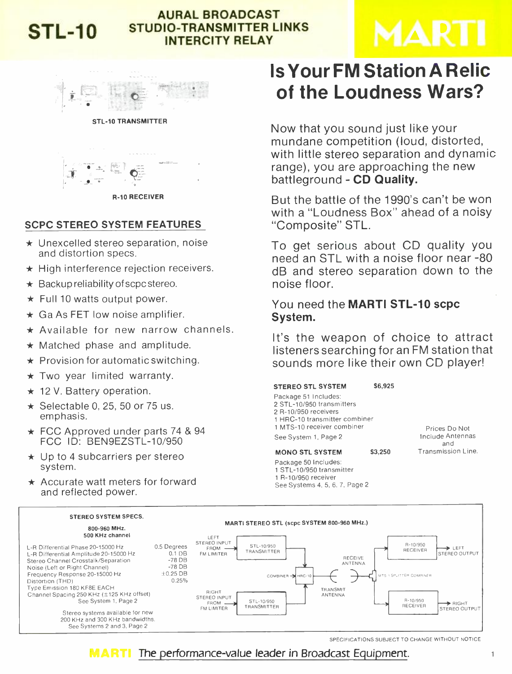

# AURAL BROADCAST STL-10 STUDIO-TRANSMITTER LINKS INTERCITY RELAY

# MARI



STL-10 TRANSMITTER



R -10 RECEIVER

# SCPC STEREO SYSTEM FEATURES

- $\star$  Unexcelled stereo separation, noise and distortion specs.
- $\star$  High interference rejection receivers.
- $\star$  Backup reliability of scpc stereo.
- $\star$  Full 10 watts output power.
- $\star$  Ga As FET low noise amplifier.
- $\star$  Available for new narrow channels.
- $\star$  Matched phase and amplitude.
- $\star$  Provision for automatic switching.
- $\star$  Two year limited warranty.
- $\star$  12 V. Battery operation.
- $\star$  Selectable 0, 25, 50 or 75 us. emphasis.
- $\star$  FCC Approved under parts 74 & 94 FCC ID: BEN9EZSTL-10/950
- $\star$  Up to 4 subcarriers per stereo system.
- $\star$  Accurate watt meters for forward and reflected power.

# Is Your FM Station A Relic of the Loudness Wars?

Now that you sound just like your mundane competition (loud, distorted, with little stereo separation and dynamic range), you are approaching the new battleground - CD Quality.

But the battle of the 1990's can't be won with a "Loudness Box" ahead of a noisy "Composite" STL.

To get serious about CD quality you need an STL with a noise floor near -80 dB and stereo separation down to the noise floor.

# You need the **MARTI STL-10 scpc** System.

It's the weapon of choice to attract listeners searching for an FM station that sounds more like their own CD player!

#### STEREO STL SYSTEM \$6,925

Package 51 Includes: STL- 10/950 transmitters R- 10/950 receivers HRC -10 transmitter combiner MTS -10 receiver combiner See System 1, Page 2

MONO STL SYSTEM \$3,250

See Systems 4, 5, 6, 7, Page <sup>2</sup>

Package 50 Includes: <sup>1</sup>STL- 10/950 transmitter <sup>1</sup>R- 10/950 receiver

Prices Do Not Include Antennas and Transmission Line.



SPECIFICATIONS SUBJECT TO CHANGE WITHOUT NOTICE

**MARTI** The performance-value leader in Broadcast Equipment.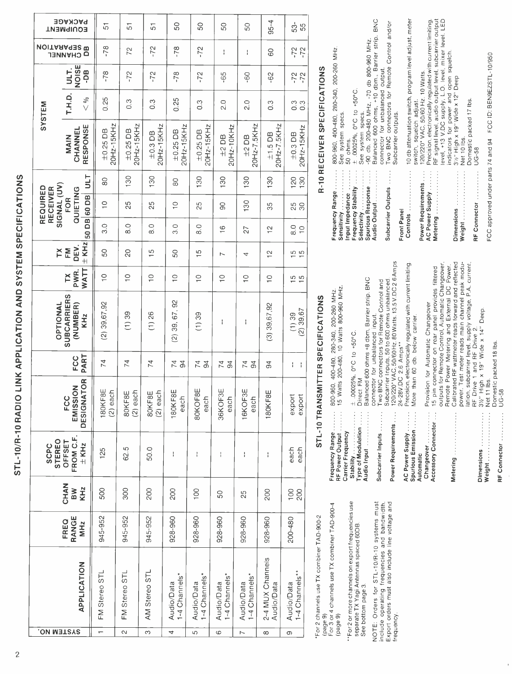| $\frac{1}{2}$                                                                                                                                                                                                                                                                                                                |
|------------------------------------------------------------------------------------------------------------------------------------------------------------------------------------------------------------------------------------------------------------------------------------------------------------------------------|
|                                                                                                                                                                                                                                                                                                                              |
|                                                                                                                                                                                                                                                                                                                              |
|                                                                                                                                                                                                                                                                                                                              |
|                                                                                                                                                                                                                                                                                                                              |
| <br> <br> <br> <br>                                                                                                                                                                                                                                                                                                          |
|                                                                                                                                                                                                                                                                                                                              |
|                                                                                                                                                                                                                                                                                                                              |
| i<br>:                                                                                                                                                                                                                                                                                                                       |
| .<br>.<br>.                                                                                                                                                                                                                                                                                                                  |
|                                                                                                                                                                                                                                                                                                                              |
| ;<br>;                                                                                                                                                                                                                                                                                                                       |
|                                                                                                                                                                                                                                                                                                                              |
|                                                                                                                                                                                                                                                                                                                              |
| ・・・ イー・トー                                                                                                                                                                                                                                                                                                                    |
|                                                                                                                                                                                                                                                                                                                              |
|                                                                                                                                                                                                                                                                                                                              |
|                                                                                                                                                                                                                                                                                                                              |
| $\begin{bmatrix} 1 & 1 & 1 & 1 & 1 \\ 1 & 1 & 1 & 1 & 1 \\ 1 & 1 & 1 & 1 & 1 \\ 1 & 1 & 1 & 1 & 1 \\ 1 & 1 & 1 & 1 & 1 \\ 1 & 1 & 1 & 1 & 1 \\ 1 & 1 & 1 & 1 & 1 \\ 1 & 1 & 1 & 1 & 1 \\ 1 & 1 & 1 & 1 & 1 \\ 1 & 1 & 1 & 1 & 1 \\ 1 & 1 & 1 & 1 & 1 \\ 1 & 1 & 1 & 1 & 1 \\ 1 & 1 & 1 & 1 & 1 \\ 1 & 1 & 1 & 1 & 1 \\ 1 & $ |
|                                                                                                                                                                                                                                                                                                                              |
| <br> <br> <br>                                                                                                                                                                                                                                                                                                               |
|                                                                                                                                                                                                                                                                                                                              |
|                                                                                                                                                                                                                                                                                                                              |
|                                                                                                                                                                                                                                                                                                                              |
|                                                                                                                                                                                                                                                                                                                              |
|                                                                                                                                                                                                                                                                                                                              |
|                                                                                                                                                                                                                                                                                                                              |

|                                     | <b>PACKAGE</b><br><b>EQUIPMENT</b>                | 51                          | 51                          | 5                          | 50                          | SO                          | SO                          | SO                          | $95 - 4$                       | $53-$<br>55                    |                                                                |
|-------------------------------------|---------------------------------------------------|-----------------------------|-----------------------------|----------------------------|-----------------------------|-----------------------------|-----------------------------|-----------------------------|--------------------------------|--------------------------------|----------------------------------------------------------------|
|                                     | <b>MOITARAGES MOITABLE</b><br><b>CHANNEL</b>      | $-78$                       | 72                          | $-72$                      | $-78$                       | $-72$                       | $\frac{1}{1}$               | ł                           | 80                             | $-72$<br>$-72$                 |                                                                |
|                                     | NOISE<br>ULT.<br>-DB                              | $-78$                       | $-72$                       | $-72$                      | $-78$                       | $-72$                       | $-65$                       | -60                         | $-62$                          | $-72$                          |                                                                |
| SYSTEM                              | T.H.D.<br>$\frac{96}{5}$                          | 0.25                        | $0.\overline{3}$            | $0.\overline{3}$           | 0.25                        | $\frac{3}{2}$               | 2.0                         | $\frac{0}{2}$               | 0.3                            | 0.3<br>0.0                     |                                                                |
|                                     | RESPONSE<br><b>INNNATO</b><br>NAIN                | 20Hz-15KHz<br>$\pm 0.25$ DB | 20Hz-15KHz<br>$\pm 0.25$ DB | 20Hz-15KHz<br>$\pm 0.3$ DB | 20Hz-15KHz<br>$\pm 0.25$ DB | 20Hz-15KHz<br>$\pm 0.25$ DB | 20Hz-10KHz<br>$±2$ DB       | 20Hz-7.5KHz<br>$±2$ DB      | 20Hz-7.5KHz<br>$±1.5$ DB       | 20Hz-15KHz<br>$\pm 0.3$ DB     |                                                                |
|                                     | JTID                                              | $\infty$                    | 130                         | 130                        | 8                           | 130                         | 130                         | 130                         | 130                            | 120<br>130                     |                                                                |
| SIGNAL (UV)<br>REQUIRED<br>RECEIVER | QUIETING<br>50 DB 60 DB<br><b>FOR</b>             | $\frac{0}{1}$               | 25                          | 25                         | $\overline{C}$              | 25                          | 8                           | 130                         | 35                             | 25<br>30                       |                                                                |
|                                     |                                                   | 3.0                         | $\frac{0}{8}$               | $\frac{0}{8}$              | $\frac{0}{3}$               | $\frac{0}{8}$               | $\frac{6}{1}$               | 27                          | $\tilde{c}$                    | $\frac{0}{8}$<br>$\frac{0}{1}$ |                                                                |
| TΧ                                  | $\pm$ KHz<br>DEV.<br>EM                           | SO                          | SO                          | ပ                          | SO                          | $\frac{5}{1}$               | ∼                           | 4                           | $\frac{1}{2}$                  | $\frac{5}{10}$                 |                                                                |
|                                     | <b>WATT</b><br>PWR.<br><b>XL</b>                  | $\frac{1}{1}$               | $\frac{1}{1}$               | $\frac{0}{1}$              | $\frac{0}{1}$               | $\frac{0}{1}$               | $\frac{0}{1}$               | $\frac{1}{1}$               | $\frac{1}{1}$                  | $\frac{5}{1}$                  |                                                                |
| OPTIONAL                            | <b>SUBCARRIERS</b><br>(NUMBER)<br>KH <sub>z</sub> | $(2)$ 39,67,92              | (1) 39                      | (1) 26                     | $(2)$ 39, 67, 92            | (1) 39                      | ł                           | ł                           | $(3)$ 39,67,92                 | $(2)$ 39,67<br>(1) 39          |                                                                |
|                                     | PART<br>FCC                                       | 74                          | $\overline{7}$              | 74                         | 74<br>$\mathfrak{g}$        | 74<br>$\mathfrak{g}$        | 74                          | 74                          | 94                             | ł<br>ł                         |                                                                |
|                                     | <b>DESIGNATOR</b><br>EMISSION<br>FCC              | 180KF8E<br>$(2)$ each       | 80KF8E<br>(2) each          | 80KF8E<br>(2) each         | 180KF8E<br>each             | Щ<br>80KOF8<br>each         | 36KOF3E<br>each             | 16KOF3E<br>each             | 180KF8E                        | export<br>export               |                                                                |
| <b>STEREO</b><br><b>SCPC</b>        | FROM C.F.<br>OFFSET<br>$\pm$ KHz                  | 125                         | 62.5                        | 50.0                       | ł                           | $\mathbf i$                 | ţ                           | ł                           | ł                              | each<br>each                   |                                                                |
|                                     | <b>CHAN</b><br>KH <sub>z</sub><br>MB              | 500                         | 300                         | 200                        | 200                         | 100                         | SO                          | 25                          | 200                            | $\frac{100}{100}$<br>200       |                                                                |
|                                     | RANGE<br>FREQ<br>MH <sub>z</sub>                  | 945-952                     | 945-952                     | 945-952                    | 928-960                     | 928-960                     | 928-960                     | 928-960                     | 928-960                        | 200-480                        |                                                                |
|                                     | APPLICATION                                       | FM Stereo STL               | FM Stereo STL               | AM Stereo STL              | 1-4 Channels*<br>Audio/Data | 1-4 Channels*<br>Audio/Data | 1-4 Channels*<br>Audio/Data | 1-4 Channels*<br>Audio/Data | 2-4 MUX Channels<br>Audio/Data | 1-4 Channels**<br>Audio/Data   | cocooo for High High Shock Cocoooo for Calculation Calculation |
| SYSTEM NO.                          |                                                   | $\overline{ }$              | $\overline{\mathcal{C}}$    | $\overline{\mathcal{C}}$   | 4                           | မာ                          | 6                           | $\overline{a}$              | $\infty$                       | $\sigma$                       |                                                                |

"For 2 channels use TX combiner TAD-900-2<br>(page 9)<br>For 3 or 4 channels use TX combiner TAD-900-4<br>(page 9)

\*\*For2 or more channels on export frequencies use<br>separate TX Yagi Antennas spaced 60DB<br>See bottom page 3.

NOTE: Orders for STL-10/R-10 systems must<br>include operating frequencies and bandwidth.<br>Export orders must also include line voltage and<br>frequency.

# STL-10 TRANSMITTER SPECIFICATIONS

| Frequency Range     | 800-960, 400-480, 280-340, 200-260 MHz.                    |
|---------------------|------------------------------------------------------------|
| RF Power Output     | 15 Watts 200-480, 10 Watts 800-960 MHz.                    |
| Carrier Frequency   |                                                            |
| Stability           | $\pm$ .00025%, 0°C to +50°C.                               |
| Type of Modulation. | Direct FM                                                  |
| Audio Input         | Balanced 600 ohms +8 dbm, Barrier strip. BNC               |
|                     | connector for unbalanced input.                            |
| Subcarrier Inputs   | Two BNC connectors for Remote Control and                  |
|                     | Subcarrier Inputs, 50 to 600 ohms unbalanced.              |
| Power Requirements. | 120/220* VAC, 50/60 Hz. 80 Watts. 13.5 V.DC 2.6 Amps       |
|                     | 24-28V.DC 2.6 Amps**                                       |
| AC Power Supply     | Precision, electronically regulated with current limiting. |
| Spurious Emission   | More than 60 db. below carrier.                            |
| Automatic           |                                                            |
| Changeover          | Provision for Automatic Changeover                         |
| Accessory Connector | 15 pin connector on rear panel provides filtered           |
|                     | outputs for Remote Control, Automatic Changeover,          |
|                     | Remote Power Metering and External DC Power.               |
| Metering            | Calibrated RF wattmeter reads forward and reflected        |
|                     | power. Test meter reads main channel peak modu-            |
|                     | lation, subcarrier level, supply voltage, P.A. current,    |
|                     | RF Drive 1 and RF Drive 2                                  |
| Dimensions          | 31/2" High x 19" Wide x 14" Deep.                          |
|                     | Net 11 lbs.                                                |
| RF Connector        | Domestic packed 18 lbs.<br>UG-58                           |

# R-10 RECEIVER SPECIFICATIONS

FCC approved under parts 74 and 94 FCC ID: BEN9EZSTL-10/950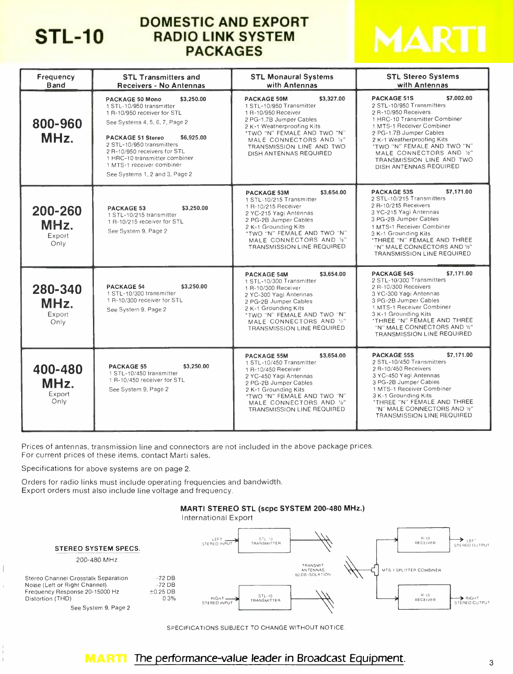# STL-10

# DOMESTIC AND EXPORT RADIO LINK SYSTEM PACKAGES



| Frequency<br><b>Band</b>          | <b>STL Transmitters and</b><br><b>Receivers - No Antennas</b>                                                                                                                                                                                                                                                                     | <b>STL Monaural Systems</b><br>with Antennas                                                                                                                                                                                                                   | <b>STL Stereo Systems</b><br>with Antennas                                                                                                                                                                                                                                                                                   |
|-----------------------------------|-----------------------------------------------------------------------------------------------------------------------------------------------------------------------------------------------------------------------------------------------------------------------------------------------------------------------------------|----------------------------------------------------------------------------------------------------------------------------------------------------------------------------------------------------------------------------------------------------------------|------------------------------------------------------------------------------------------------------------------------------------------------------------------------------------------------------------------------------------------------------------------------------------------------------------------------------|
| 800-960<br>MHz.                   | \$3,250.00<br>PACKAGE 50 Mono<br>1 STL-10/950 transmitter<br>1 R-10/950 receiver for STL<br>See Systems 4, 5, 6, 7, Page 2<br><b>PACKAGE 51 Stereo</b><br>\$6,925.00<br>2 STL-10/950 transmitters<br>2 R-10/950 receivers for STL<br>1 HRC-10 transmitter combiner<br>1 MTS-1 receiver combiner<br>See Systems 1, 2 and 3, Page 2 | \$3,327.00<br><b>PACKAGE 50M</b><br>1 STL-10/950 Transmitter<br>1 R-10/950 Receiver<br>2 PG-1.7B Jumper Cables<br>2 K-1 Weatherproofing Kits<br>'TWO "N" FEMALE AND TWO "N"<br>MALE CONNECTORS AND 1/2"<br>TRANSMISSION LINE AND TWO<br>DISH ANTENNAS REQUIRED | \$7,002.00<br><b>PACKAGE 51S</b><br>2 STL-10/950 Transmitters<br>2 R-10/950 Receivers<br>1 HRC-10 Transmitter Combiner<br>1 MTS-1 Receiver Combiner<br>2 PG-1.7B Jumper Cables<br>2 K-1 Weatherproofing Kits<br>"TWO "N" FEMALE AND TWO "N"<br>MALE CONNECTORS AND %"<br>TRANSMISSION LINE AND TWO<br>DISH ANTENNAS REQUIRED |
| 200-260<br>MHz.<br>Export<br>Only | \$3,250.00<br><b>PACKAGE 53</b><br>1 STL-10/215 transmitter<br>1 R-10/215 receiver for STL<br>See System 9, Page 2                                                                                                                                                                                                                | \$3,654.00<br><b>PACKAGE 53M</b><br>1 STL-10/215 Transmitter<br>1 R-10/215 Receiver<br>2 YC-215 Yagi Antennas<br>2 PG-2B Jumper Cables<br>2 K-1 Grounding Kits<br>"TWO "N" FEMALE AND TWO "N"<br>MALE CONNECTORS AND 1/2"<br>TRANSMISSION LINE REQUIRED        | \$7,171.00<br><b>PACKAGE 53S</b><br>2 STL-10/215 Transmitters<br>2 R-10/215 Receivers<br>3 YC-215 Yagi Antennas<br>3 PG-2B Jumper Cables<br>1 MTS-1 Receiver Combiner<br>3 K-1 Grounding Kits<br>'THREE "N" FEMALE AND THREE<br>"N" MALE CONNECTORS AND 1/2"<br>TRANSMISSION LINE REQUIRED                                   |
| 280-340<br>MHz.<br>Export<br>Only | <b>PACKAGE 54</b><br>\$3,250.00<br>1 STL-10/300 transmitter<br>1 R-10/300 receiver for STL<br>See System 9, Page 2                                                                                                                                                                                                                | \$3.654.00<br><b>PACKAGE 54M</b><br>1 STL-10/300 Transmitter<br>1 R-10/300 Receiver<br>2 YC-300 Yagi Antennas<br>2 PG-2B Jumper Cables<br>2 K-1 Grounding Kits<br>"TWO "N" FEMALE AND TWO "N"<br>MALE CONNECTORS AND 1/2"<br>TRANSMISSION LINE REQUIRED        | \$7,171.00<br><b>PACKAGE 54S</b><br>2 STL-10/300 Transmitters<br>2 R-10/300 Receivers<br>3 YC-300 Yagi Antennas<br>3 PG-2B Jumper Cables<br>1 MTS-1 Receiver Combiner<br>3 K-1 Grounding Kits<br>'THREE "N" FEMALE AND THREE<br>"N" MALE CONNECTORS AND 1/2"<br><b>TRANSMISSION LINE REQUIRED</b>                            |
| 400-480<br>MHz.<br>Export<br>Only | \$3,250.00<br><b>PACKAGE 55</b><br>1 STL-10/450 transmitter<br>1 R-10/450 receiver for STL<br>See System 9, Page 2                                                                                                                                                                                                                | \$3,654.00<br><b>PACKAGE 55M</b><br>1 STL-10/450 Transmitter<br>1 R-10/450 Receiver<br>2 YC-450 Yagi Antennas<br>2 PG-2B Jumper Cables<br>2 K-1 Grounding Kits<br>'TWO "N" FEMALE AND TWO "N"<br>MALE CONNECTORS AND 1/2"<br><b>TRANSMISSION LINE REQUIRED</b> | \$7,171.00<br><b>PACKAGE 55S</b><br>2 STL-10/450 Transmitters<br>2 R-10/450 Receivers<br>3 YC-450 Yaqi Antennas<br>3 PG-2B Jumper Cables<br>1 MTS-1 Receiver Combiner<br>3 K-1 Grounding Kits<br><b><i>'THREE "N" FEMALE AND THREE</i></b><br>"N" MALE CONNECTORS AND 1/2"<br>TRANSMISSION LINE REQUIRED                     |

Prices of antennas, transmission line and connectors are not included in the above package prices. For current prices of these items, contact Marti sales.

Specifications for above systems are on page 2.

 $\begin{array}{c} \hline \end{array}$ 

 $\mathbf{I}$ 

Orders for radio links must include operating frequencies and bandwidth. Export orders must also include line voltage and frequency.





SPECIFICATIONS SUBJECT TO CHANGE WITHOUT NOTICE

# **MARTI** The performance-value leader in Broadcast Equipment.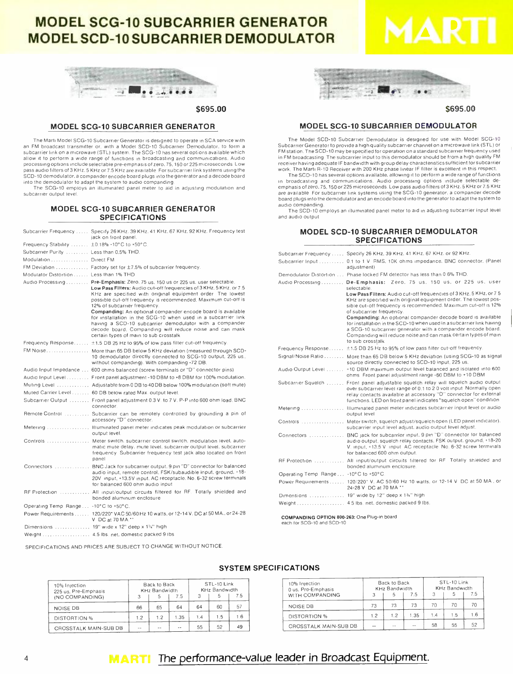# MODEL SCG -10 SUBCARRIER GENERATOR **MODEL SCD-10 SUBCARRIER DEMODULATOR**



\$695.00

#### MODEL SCG -10 SUBCARRIER GENERATOR

The Marti Model SCG -10 Subcarrier Generator is designed to operate in SCA service with an FM broadcast transmitter or, with a Model SCD-10 Subcarrier Demodulator, to form a subcarrier link on a microwave (STL) system. The SCG -10 has several options available which allow it to perform a wide range of functions in broadcasting and communications. Audio processing options include selectable pre -emphasis of zero, 75,150 or 225 microseconds. Low pass audio filters of 3 KHz, 5 KHz or 7.5 KHz are available. For subcarrier link systems using the SCD-10 demodulator, a compander encode board plugs into the generator and a decode board into the demodulator to adapt the system to audio companding.

The SCG -10 employs an illuminated panel meter to aid in adjusting modulation and subcarrier output level

#### MODEL SCG -10 SUBCARRIER GENERATOR SPECIFICATIONS

|                                             | Subcarrier Frequency  Specify 26 KHz. 39 KHz. 41 KHz. 67 KHz. 92 KHz. Frequency test<br>jack on front panel.                                                                                                                                                                                                         |
|---------------------------------------------|----------------------------------------------------------------------------------------------------------------------------------------------------------------------------------------------------------------------------------------------------------------------------------------------------------------------|
| Frequency Stability  ±0.18% -10°C to +50°C. |                                                                                                                                                                                                                                                                                                                      |
| Subcarrier Purity ,  Less than 0.5% THD.    |                                                                                                                                                                                                                                                                                                                      |
| Modulation Direct FM                        |                                                                                                                                                                                                                                                                                                                      |
|                                             | FM Deviation , Factory set for ±7.5% of subcarrier frequency.                                                                                                                                                                                                                                                        |
| Modulator Distortion Less than 1% THD       |                                                                                                                                                                                                                                                                                                                      |
|                                             | Audio Processing Pre-Emphasis: Zero, 75 us, 150 us or 225 us, user selectable.<br>Low Pass Filters: Audio cut-off frequencies of 3 KHz, 5 KHz, or 7.5<br>KHz are specified with original equipment order The lowest<br>possible cut-off frequency is recommended. Maximum cut-off is<br>12% of subcarrier frequency. |
|                                             | Companding: An optional compander encode board is available<br>for installation in the SCG-10 when used in a subcarrier link<br>having a SCD-10 subcarrier demodulator with a compander<br>decode board. Companding will reduce noise and can mask<br>certain types of main to sub crosstalk                         |
|                                             | Frequency Response ±1.5 DB 25 Hz to 95% of low pass filter cut-off frequency.                                                                                                                                                                                                                                        |
|                                             | FM Noise More than 65 DB below 5 KHz deviation (measured through SCD-<br>10 demodulator directly connected to SCG-10 output, 225 us.,<br>without companding). With companding -72 DB.                                                                                                                                |
|                                             | Audio Input Impedance 600 ohms balanced (screw terminals or "D" connector pins)                                                                                                                                                                                                                                      |
|                                             | Audio Input Level Front panel adjustment -10 DBM to +8 DBM for 100% modulation.                                                                                                                                                                                                                                      |
|                                             | Muting Level , Adjustable from 0 DB to 40 DB below 100% modulation (soft mute)                                                                                                                                                                                                                                       |
|                                             | Muted Carrier Level 60 DB below rated Max. output level.                                                                                                                                                                                                                                                             |
|                                             | Subcarrier Output  Front panel adjustment 0.3 V. to 7 V. P-P into 600 ohm load. BNC<br>connector.                                                                                                                                                                                                                    |
|                                             | Remote Control  Subcarrier can be remotely controlled by grounding a pin of<br>accessory "D" connector.                                                                                                                                                                                                              |
|                                             | Metering  Illuminated panel meter indicates peak modulation or subcarrier<br>output level.                                                                                                                                                                                                                           |
|                                             | Controls  Meter switch, subcarrier control switch, modulation level, auto-<br>matic mute delay, mute level, subcarrier output level, subcarrier<br>frequency. Subcarrier frequency test jack also located on front<br>panel                                                                                          |
|                                             | Connectors  BNC Jack for subcarrier output. 9 pin "D" connector for balanced<br>audio input, remote control, FSK/subaudible input, ground. +18-<br>20V input, +13.5V input. AC receptacle. No. 6-32 screw terminals<br>for balanced 600 ohm audio input                                                              |
|                                             | RF Protection  All input/output circuits filtered for RF. Totally shielded and<br>bonded aluminum enclosure                                                                                                                                                                                                          |
| Operating Temp, Range -10°C to +50°C.       |                                                                                                                                                                                                                                                                                                                      |
|                                             | Power Requirements 120/220* VAC 50/60 Hz 10 watts, or 12-14 V. DC at 50 MA., or 24-28<br>V DC at 70 MA.**                                                                                                                                                                                                            |
|                                             | Dimensions  19" wide x 12" deep x 1%" high                                                                                                                                                                                                                                                                           |
|                                             | Weight 4.5 lbs. net. domestic packed 9 lbs.                                                                                                                                                                                                                                                                          |

SPECIFICATIONS AND PRICES ARE SUBJECT TO CHANGE WITHOUT NOTICE.



S695.00

#### MODEL SCG -10 SUBCARRIER DEMODULATOR

The Model SCD-10 Subcarrier Demodulator is designed for use with Model SCG-10 Subcarrier Generator to provide a high quality subcarrier channel on a microwave link (STL) or<br>FM station. The SCD-10 may be specified for operation on a standard subcarrier frequency used in FM broadcasting. The subcarrier input to this demodulator should be from a high quality FM receiver having adequate IF bandwidth with group delay characteristics sufficient for subcarrier<br>work. The Marti A-10 Receiver with 200 KHz phase linear IF filter is excellent in this respect.<br>The SCD-10 has several option

in broadcasting and communications. Audio processing options include selectable de-<br>emphasis ofzero.75,150 or225 microseconds.Lowpassaudiofilters.df3.KHz.5.KHz or7.5.KHz<br>are available For subcarrier link systems using the are available. For subcarrier link systems using the SCG-10 generator a compander decode board plugs into the demodulator and an encode board into the generator to adapt the system to audio companding.<br>The SCD-10 employs a

#### **MODEL SCD-10 SUBCARRIER DEMODULATOR** SPECIFICATIONS

|                                      | Subcarrier Frequency , Specify 26 KHz, 39 KHz, 41 KHz, 67 KHz, or 92 KHz.                                                                                                                                                                                                                                                                                                                                                                                                                                                                                                                                                |
|--------------------------------------|--------------------------------------------------------------------------------------------------------------------------------------------------------------------------------------------------------------------------------------------------------------------------------------------------------------------------------------------------------------------------------------------------------------------------------------------------------------------------------------------------------------------------------------------------------------------------------------------------------------------------|
|                                      | Subcarrier Input  0.1 to 1 V RMS, 10K ohms impedance. BNC connector. (Panel<br>adjustment)                                                                                                                                                                                                                                                                                                                                                                                                                                                                                                                               |
|                                      | Demodulator Distortion  Phase locked FM detector has less than 0.6% THD.                                                                                                                                                                                                                                                                                                                                                                                                                                                                                                                                                 |
|                                      | Audio Processing De-Emphasis: Zero, 75 us, 150 us, or 225 us, user<br>selectable.<br>Low Pass Filters: Audio cut-off frequencies of 3 KHz, 5 KHz, or 7 5<br>KHz are specified with original equipment order. The lowest pos-<br>sible cut-off frequency is recommended. Maximum cut-off is 12%<br>of subcarrier frequency.<br>Companding: An optional compander decode board is available<br>for installation in the SCD-10 when used in a subcarrier link having<br>a SCG-10 subcarrier generator with a compander encode board.<br>Companding will reduce noise and can mask certain types of main<br>to sub crosstalk |
|                                      | Frequency Response ±1.5 DB 25 Hz to 95% of low pass filter cut-off frequency.                                                                                                                                                                                                                                                                                                                                                                                                                                                                                                                                            |
|                                      | Signal/Noise Ratio More than 65 DB below 5 KHz deviation (using SCG-10 as signal<br>source directly connected to SCD-10 input, 225 us.                                                                                                                                                                                                                                                                                                                                                                                                                                                                                   |
|                                      | Audio Output Level  +10 DBM maximum output level balanced and isolated into 600<br>ohms Front panel adjustment range -60 DBM to +10 DBM                                                                                                                                                                                                                                                                                                                                                                                                                                                                                  |
|                                      | Subcarrier Squelch  Front panel adjustable squelch relay will squelch audio output<br>over subcarrier level range of 0.1 to 2.0 volt input. Normally open<br>relay contacts available at accessory "O" connector for external<br>functions. LED on front panel indicates "squelch open" condition                                                                                                                                                                                                                                                                                                                        |
|                                      | Metering  Illuminated panel meter indicates subcarrier input level or audio<br>output level                                                                                                                                                                                                                                                                                                                                                                                                                                                                                                                              |
|                                      | Controls  Meter switch, squelch adjust/squelch open (LED panel indicator).<br>subcarrier input level adjust, audio output level adjust.                                                                                                                                                                                                                                                                                                                                                                                                                                                                                  |
| Connectors                           | BNC jack for subcarrier input, 9 pin "D" connector for balanced<br>audio output, squelch relay contacts. FSK output, ground, +18-20<br>V. input, +13.5 V. input. AC receptacle. No. 6-32 screw terminals<br>for balanced 600 ohm output.                                                                                                                                                                                                                                                                                                                                                                                 |
|                                      | RF Protection  All input/output circuits filtered for RF. Totally shielded and<br>bonded aluminum enclosure.                                                                                                                                                                                                                                                                                                                                                                                                                                                                                                             |
| Operating Temp_Range -10°C to +50°C. |                                                                                                                                                                                                                                                                                                                                                                                                                                                                                                                                                                                                                          |
|                                      | Power Requirements 120/220* V. AC 50/60 Hz 10 watts. or 12-14 V DC at 50 MA, or<br>24-28 V DC at 70 MA **                                                                                                                                                                                                                                                                                                                                                                                                                                                                                                                |
|                                      | Dimensions  19" wide by 12" deep x 1%" high                                                                                                                                                                                                                                                                                                                                                                                                                                                                                                                                                                              |
|                                      | Weight 45 lbs. net, domestic packed 9 lbs.                                                                                                                                                                                                                                                                                                                                                                                                                                                                                                                                                                               |

COMPANDING OPTION 800-263: One Plug-in board<br>each for SCG-10 and SCD-10

| 10% Injection<br>225 us. Pre-Emphasis<br>(NO COMPANDING) |            | Back to Back<br><b>KHz Bandwidth</b><br>ь | 75   | 3   | STL-10 Link<br><b>KHz Bandwidth</b> | 75 |
|----------------------------------------------------------|------------|-------------------------------------------|------|-----|-------------------------------------|----|
| <b>NOISE DB</b>                                          | 66         | 65                                        | 64   | 64  | 60                                  | 57 |
| <b>DISTORTION %</b>                                      | 1.2        | 1.2                                       | 1.35 | 1.4 | 1.5                                 | 16 |
| CROSSTALK MAIN-SUB DB                                    | <b>COL</b> |                                           | - -  | 55  | 52                                  | 49 |

#### SYSTEM SPECIFICATIONS

| 10% Injection<br>0 us. Pre-Emphasis |     | Back to Back<br><b>KHz Bandwidth</b> |      | STL-10 Link<br><b>KHz Bandwidth</b> |     |     |
|-------------------------------------|-----|--------------------------------------|------|-------------------------------------|-----|-----|
| WITH COMPANDING                     |     |                                      | 7.5  |                                     | 5   | 75  |
| <b>NOISE DB</b>                     | 73  | 73                                   | 73   | 70                                  | 70  | 70  |
| <b>DISTORTION %</b>                 | 1.2 | 12                                   | 1.35 | 1.4                                 | 1.5 | 1.6 |
| CROSSTALK MAIN-SUB DB               |     | <b>COLOR</b>                         |      | 58                                  | 55  | 52  |

# **MARTI** The performance-value leader in Broadcast Equipment.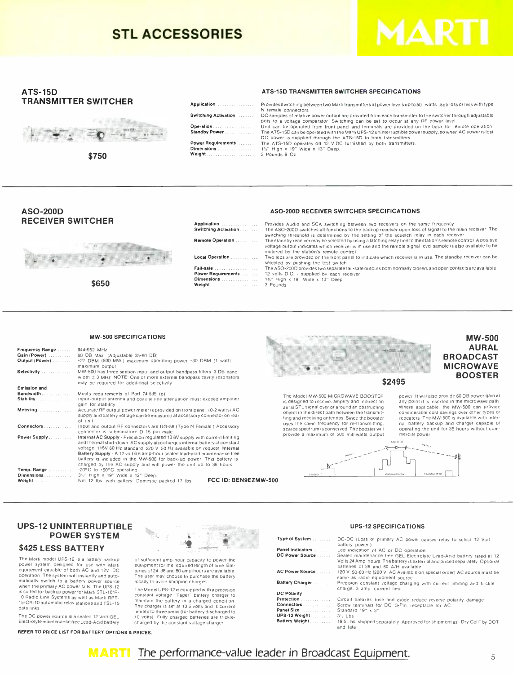# STL ACCESSORIES



#### ATS -15D TRANSMITTER SWITCHER



\$750

#### ATS -15D TRANSMITTER SWITCHER SPECIFICATIONS

Switching Activation<br>Operation<br>Standby Power Standby Power Power Requirements Dimensions Weight

Application.

Application Switching Active

Remote Operation Local Operation

Fail-safe ......<br>Power Requiren Power Requirements<br> **Weight**.....

Provides switching between two Marti transmitters at power levels up to 50 watts. .5db loss or less with type<br>N. female: connectors <sup>N</sup>female connectors. DC samples of relative power output are provided from each transmitter to the switcher through adjustable pots to a voltage comparator. Switching can be set to occur at any RF power level.<br>Unit can be operated from front panel and terminals are provided on the back for remote operation.<br>The ATS-15D can be operated with the Mar

#### ASO -200D RECEIVER SWITCHER



\$650

| .     | Provides Audio and SCA switching between two receivers on the same frequency                                                                                                                                                                                               |
|-------|----------------------------------------------------------------------------------------------------------------------------------------------------------------------------------------------------------------------------------------------------------------------------|
| ition | The ASO-200D switches all functions to the backup receiver upon loss of signal to the main receiver. The<br>switching threshold is determined by the setting of the squelch relay in each receiver                                                                         |
| on    | The standby receiver may be selected by using a latching relay tied to the station's remote control. A positive<br>voltage output indicates which receiver is in use and the remote signal level sample is also available to be<br>metered by the station's remote control |
| .     | Two leds are provided on the front panel to indicate which receiver is in use. The standby receiver can be<br>selected by pushing the test switch                                                                                                                          |
| .     | The ASO-200D provides two separate fail-safe outputs both normally closed, and open contacts are available                                                                                                                                                                 |
| ients | 12 volts D.C. - supplied by each receiver                                                                                                                                                                                                                                  |
| .     | 1%" High x 19" Wide x 13" Deep                                                                                                                                                                                                                                             |
| .     | 3 Pounds                                                                                                                                                                                                                                                                   |
|       |                                                                                                                                                                                                                                                                            |

ASO -2000 RECEIVER SWITCHER SPECIFICATIONS

#### MW -500 SPECIFICATIONS

| Frequency Range  944-952 MHz |                                                                                  |       |
|------------------------------|----------------------------------------------------------------------------------|-------|
|                              |                                                                                  |       |
| Output (Power)               | +27 DBM (500 MW) maximum operating power +30 DBM (1 watt)                        |       |
|                              | maximum output                                                                   |       |
| Selectivity                  | MW-500 has three section input and output bandpass filters 3 DB band-            |       |
|                              | width $\pm$ 3 MHz. NOTE: One or more external bandpass cavity resonators.        |       |
|                              | may be required for additional selectivity                                       |       |
| <b>Emission and</b>          |                                                                                  |       |
| $Bandwidth$                  | Meets requirements of Part 74 535 (g)                                            | The   |
| Stability                    | Input-output antenna and coaxial line attenuation must exceed amplifier          |       |
|                              | gain for stability                                                               | is de |
| Metering                     | Accurate RF output power meter is provided on front panel (0-2 watts) AC         | aura  |
|                              | supply and battery voltage can be measured at accessory connector on rear        | obje  |
|                              | of unit                                                                          | ting  |
| Connectors                   | Input and output RF connectors are UG-58 (Type N Female ) Accessory              | uses  |
|                              | connector is subminiature D 15 pin male                                          | scar  |
| Power Supply                 | Internal AC Supply - Precision regulated 13 6V supply with current limiting      | prov  |
|                              | and thermal shut-down. AC supply also charges internal battery at constant       |       |
|                              | voltage 115V 60 Hz standard 220 V 50 Hz available on request Internal            |       |
|                              | <b>Battery Supply</b> - A 12 yolt 6.5 amp-hour sealed lead-acid maintenance free |       |
|                              | battery is included in the MW-500 for back-up power. This battery is             |       |
|                              | charged by the AC supply and will power the unit up to 36 hours                  |       |
| Temp. Range                  | -20°C to +50°C operating                                                         |       |
|                              | 3%" High x 19" Wide x 12" Deep.                                                  |       |
| Weight                       | FCC ID: BEN9EZMW-500<br>Net 12 lbs with battery. Domestic packed 17 lbs.         |       |
|                              |                                                                                  |       |



The Model MW -500 MICROWAVE BOOSTER is designed to receive, amplify and redirect an<br>aural STL signal over or around an obstructing object in the direct path between the transmitting and receiving antennas. Since the booster<br>uses the same frequency for re-transmitting. uses the same frequency for re- transmitting, scarce spectrum is conserved. The booster will provide a maximum of 500 milliwatts output

power. It will also provide 60 DB power gain at any point it is inserted in the microwave path Where applicable. the MW-500 can provide repeaters. The MW-500 is available with inter-<br>nal battery backup and charger capable of<br>operating the unit for 36 hours without com-<br>mercial power.

MW -500 AURAL BROADCAST MICROWAVE BOOSTER



#### UPS -12 UNINTERRUPTIBLE POWER SYSTEM

#### \$425 LESS BATTERY

The Marti model UPS-12 is a battery backup<br>power system designed for use with Marti<br>equipment capable of both AC and 12V. DC<br>operation. The system will instantly and auto-<br>matically switch to a battery power source when the primary AC power fais. The UPS -12 is suited for backup power for Marti STL -10 /R- 10 Radio Link Systems as well as Marti RPT-<br>15/CR-10 automatic relay stations and TSL-15<br>data links.<br>The DC power source is a sealed 12 Volt GEL<br>Electrolyte maintenance free Lead-Acid battery

REFER TO PRICE LIST FOR BATTERY OPTIONS 8 PRICES.



of sufficient amp -hour capacity to power the equipment for the required length of time Batteries of 24, 38 and 60 amp-hours are available.<br>The user may choose to purchase the battery

locally to avoid shipping charges.<br>The Model UPS-12 is equipped with a precision<br>constant voltage "Taper" battery charger to maintain the battery in a charged condition. The charger is set at 13.6 volts and is current limited to three amps (for battery discharged to 10 volts) Fully charged batteries are trickle-<br>charged by the constant-voltage charger.

# UPS -12 SPECIFICATIONS

| Type of System            | DC-DC (Loss of primary AC power causes relay to select 12 Volt                                                                                                                             |
|---------------------------|--------------------------------------------------------------------------------------------------------------------------------------------------------------------------------------------|
|                           | battery power)                                                                                                                                                                             |
| Panel Indicators          | Led indication of AC or DC operation                                                                                                                                                       |
| DC Power Source           | Sealed maintenance free GEL Electrolyte Lead-Acid battery rated at 12<br>Volts 24 Amp hours The battery is external and priced separately Optional<br>batteries of 38 and 60 A/H available |
| AC Power Source           | 120 V. 50-60 Hz (220 V AC Available on special order) AC source must be<br>same as radio equipment source                                                                                  |
| Battery Charger           | Precision constant voltage charging with current limiting and trickle<br>charge. 3 amp current limit.                                                                                      |
| <b>DC Polarity</b>        |                                                                                                                                                                                            |
| Protection                | Circuit breaker, fuse and diode reduce reverse polarity damage                                                                                                                             |
| Connectors                | Screw terminals for DC, 3-Pin, receptacle for AC                                                                                                                                           |
| Panel Size                | Standard 19" x 3"                                                                                                                                                                          |
| UPS-12 Weight [1] [1] [1] | $3'$ Lbs                                                                                                                                                                                   |
| Battery Weight            | 195 Lbs shipped separately Approved for shipment as Dry Cell" by DOT<br>and lata                                                                                                           |

#### **MARTI** The performance-value leader in Broadcast Equipment.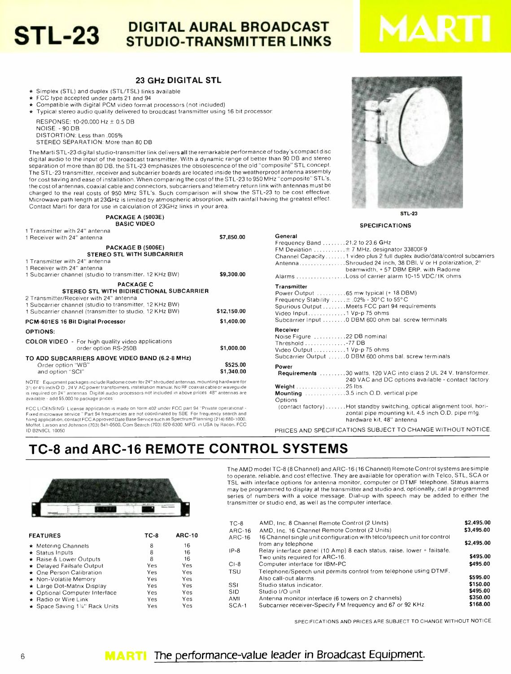# **STL-23** DIGITAL AURAL BROADCAST

#### 23 GHz DIGITAL STL

\* Simplex (STL) and duplex (STL/TSL) links available<br>\* FCC type accepted under parts 21 and 94

- 
- 
- \* Compatible with digital PCM video format processors (not included) \* Typical stereo audio quality delivered to broadcast transmitter using 16 bit processors

RESPONSE: 10-20,000 Hz ± 0.5 DB NOISE: - 90 DB DISTORTION: Less than .005% STEREO SEPARATION: More than 80 DB

The Marti STL-23 digital studio-transmitter link delivers all the remarkable performance of today's compact disc digital audio to the input of the broadcast transmitter. With a dynamic range of better than 90 DB and stereo separation of more than 80 DB, the STL -23 emphasizes the obsolescence of the old "composite" STL concept. The STL -23 transmitter, receiver and subcarrier boards are located inside the weatherproof antenna assembly for cost saving and ease of installation. When comparing the cost of the STL -23 to 950 MHz "composite" STL's, the cost of antennas, coaxial cable and connectors, subcarriers and telemetry return link with antennas must be charged to the real costs of 950 MHz STL's. Such comparison will show the STL-23 to be cost effective. Microwave path length at 23GHz is limited by atmospheric absorption, with rainfall having the greatest effect. Contact Marti for data for use in calculation of 23GHz links in your area.

| PACKAGE A (5003E)              |
|--------------------------------|
| <b>BASIC VIDEO</b>             |
| 1 Transmitter with 24" antenna |

| 1 Receiver with 24" antenna                                                                                                                           | \$7,850.00  |
|-------------------------------------------------------------------------------------------------------------------------------------------------------|-------------|
| PACKAGE B (5006E)<br><b>STEREO STL WITH SUBCARRIER</b>                                                                                                |             |
| 1 Transmitter with 24" antenna                                                                                                                        |             |
| 1 Receiver with 24" antenna                                                                                                                           |             |
| 1 Subcarrier channel (studio to transmitter, 12 KHz BW)                                                                                               | \$9,300.00  |
| <b>PACKAGE C</b>                                                                                                                                      |             |
| <b>STEREO STL WITH BIDIRECTIONAL SUBCARRIER</b><br>2 Transmitter/Receiver with 24" antenna<br>1 Subcarrier channel (studio to transmitter, 12 KHz BW) |             |
| 1 Subcarrier channel (transmitter to studio, 12 KHz BW)                                                                                               | \$12,150.00 |
| PCM-601ES 16 Bit Digital Processor                                                                                                                    | \$1,400.00  |
| <b>OPTIONS:</b>                                                                                                                                       |             |
| <b>COLOR VIDEO</b> - For high quality video applications<br>order option RS-250B                                                                      | \$1,000.00  |
| TO ADD SUBCARRIERS ABOVE VIDEO BAND (6.2-8 MHz)                                                                                                       |             |
| Order option "WB"                                                                                                                                     | \$525.00    |
| and option "SCI"                                                                                                                                      | \$1,340.00  |

NOTE: Equipment packages include Radome cover for 24" shrouded antennas, mounting hardware for<br>3'½ or 4½ inch O.D., 24 V.AC power transformers, installation manual. No RF coaxial cable or waveguide is required on 24" antennas. Digital audio processors not included in above prices. 48" antennas are

available - add \$5,000 to package prices<br>FCC LICENSING<sup>.</sup> License application is made on form 402 under FCC part 94 "Private operational -<br>Fixed microwave service " Part 94 frequencies are not coordinated by SBE For freque ID B2N9CL 10050.

STL-23

SPECIFICATIONS

| .<br>Frequency Band 21.2 to 23.6 GHz<br>FM Deviation  ± 7 MHz, designator 33800F9<br>Channel Capacity1 video plus 2 full duplex audio/data/control subcarriers<br>AntennaShrouded 24 inch, 38 DBI, V or H polarization, 2°<br>beamwidth, +57 DBM ERP, with Radome<br>Alarms Loss of carrier alarm 10-15 VDC/1K ohms |
|---------------------------------------------------------------------------------------------------------------------------------------------------------------------------------------------------------------------------------------------------------------------------------------------------------------------|
| Transmitter<br>Power Output  65 mw typical (+ 18 DBM)<br>Frequency Stability $\pm$ .02% - 30°C to 55°C<br>Spurious Output Meets FCC part 94 requirements<br>Video Input1 Vp-p 75 ohms<br>Subcarrier Input  0 DBM 600 ohm bal. screw terminals                                                                       |
| Receiver<br>Noise Figure 22 DB nominal<br>Threshold 77 DB<br>Video Output 1 Vp-p 75 ohms<br>Subcarrier Output  0 DBM 600 ohms bal. screw terminals                                                                                                                                                                  |
| Power<br>Requirements 30 watts, 120 VAC into class 2 UL 24 V. transformer.<br>240 VAC and DC options available - contact factory.<br>Weight 25 lbs.<br>Mounting 3.5 inch O.D. vertical pipe                                                                                                                         |
| Options<br>(contact factory)  Hot standby switching, optical alignment tool, hori-<br>zontal pipe mounting kit, 4.5 inch O.D. pipe mtg.<br>hardware kit, 48" antenna                                                                                                                                                |

PRICES AND SPECIFICATIONS SUBJECT TO CHANGE WITHOUT NOTICE.

# TC -8 and ARC -16 REMOTE CONTROL SYSTEMS



| <b>FEATURES</b>               | TC-8 | <b>ARC-10</b> |
|-------------------------------|------|---------------|
| ★ Metering Channels           | 8    | 16            |
| $\star$ Status Inputs         | 8    | 16            |
| * Raise & Lower Outputs       | 8    | 16            |
| ★ Delayed Failsafe Output     | Yes  | Yes           |
| * One Person Calibration      | Yes  | Yes           |
| ★ Non-Volatile Memory         | Yes  | Yes           |
| * Large Dot-Matrix Display    | Yes  | Yes           |
| ★ Optional Computer Interface | Yes  | Yes           |
| ★ Radio or Wire Link          | Yes  | Yes           |
| ★ Space Saving 1%" Rack Units | Yes  | Yes           |

The AMD model TC -8 (8 Channel) and ARC -16 (16 Channel) Remote Control systems are simple to operate, reliable, and cost effective. They are available for operation with Telco, STL, SCA or TSL with interface options for antenna monitor, computer or DTMF telephone. Status alarms may be programmed to display at the transmitter and studio and, optionally, call a programmed series of numbers with a voice message. Dial-up with speech may be added to either the transmitter or studio end, as well as the computer interface.

|                               |        |               | TC-8            | AMD, Inc. 8 Channel Remote Control (2 Units)                            | \$2,495.00 |
|-------------------------------|--------|---------------|-----------------|-------------------------------------------------------------------------|------------|
| <b>FEATURES</b>               | $TC-8$ | <b>ARC-10</b> | ARC-16          | AMD, Inc. 16 Channel Remote Control (2 Units)                           | \$3,495.00 |
|                               |        |               | ARC-16          | 16 Channel single unit configuration with telco/speech unit for control |            |
| ★ Metering Channels           |        | 16            |                 | from any telephone                                                      | \$2,495.00 |
| $\star$ Status Inputs         |        | 16            | $IP-8$          | Relay interface panel (10 Amp) 8 each status, raise, lower + failsafe.  |            |
| ★ Raise & Lower Outputs       |        | 16            |                 | Two units required for ARC-16.                                          | \$495.00   |
| ★ Delayed Failsafe Output     | Yes    | Yes           | $CI-8$          | Computer interface for IBM-PC                                           | \$495.00   |
| ★ One Person Calibration      | Yes    | Yes           | TSU             | Telephone/Speech unit permits control from telephone using DTMF.        |            |
| ★ Non-Volatile Memory         | Yes    | Yes           |                 | Also call-out alarms.                                                   | \$595.00   |
| ★ Large Dot-Matrix Display    | Yes    | Yes           | SS <sub>I</sub> | Studio status indicator.                                                | \$150.00   |
| ★ Optional Computer Interface | Yes    | Yes           | SID             | Studio I/O unit                                                         | \$495.00   |
| $\star$ Radio or Wire Link    | Yes.   | Yes           | AMI             | Antenna monitor interface (6 towers on 2 channels)                      | \$350.00   |
| ★ Space Saving 1%" Rack Units | Yes    | Yes           | $SCA-1$         | Subcarrier receiver-Specify FM frequency and 67 or 92 KHz.              | \$168.00   |

SPECIFICATIONS AND PRICES ARE SUBJECT TO CHANGE WITHOUT NOTICE.

General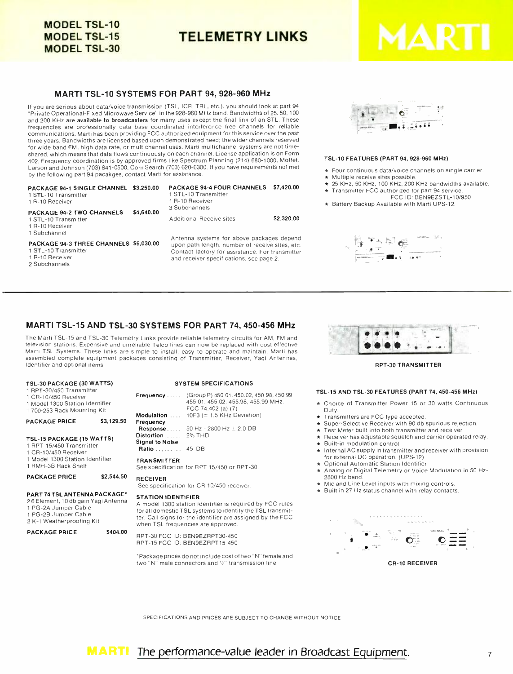# **MODEL TSL-10 MODEL TSL-15 MODEL TSL-30**

TELEMETRY LINKS

#### MARTI TSL -10 SYSTEMS FOR PART 94, 928 -960 MHz

If you are serious about data /voice transmission (TSL, ICR, TRL, etc.), you should look at part 94 "Private Operational -Fixed Microwave Service" in the 928 -960 MHz band. Bandwidths of 25, 50, 100 and 200 KHz are available to broadcasters for many uses except the final link of an STL. These frequencies are professionally data base coordinated interference free channels for reliable communications. Marti has been providing FCC authorized equipment for this service over the past three years. Bandwidths are licensed based upon demonstrated need; the wider channels reserved for wide band FM, high data rate, or multichannel uses. Marti multichannel systems are not timeshared, which means that data flows continuously on each channel. License application is on Form 402. Frequency coordination is by approved firms like Spectrum Planning (214) 680 -1000, Moffet, Larson and Johnson (703) 841 -0500, Com Search (703) 620 -6300. If you have requirements not met by the following part 94 pacakges, contact Marti for assistance.

| PACKAGE 94-1 SINGLE CHANNEL \$3,250.00<br>1 STL-10 Transmitter<br>1 B-10 Receiver<br><b>PACKAGE 94-2 TWO CHANNELS</b> | \$4,640.00 | <b>PACKAGE 94-4 FOUR CHANNELS</b><br>1 STL-10 Transmitter<br>1 R-10 Receiver<br>3 Subchannels                                                                                               | \$7,420.00 |
|-----------------------------------------------------------------------------------------------------------------------|------------|---------------------------------------------------------------------------------------------------------------------------------------------------------------------------------------------|------------|
| 1 STL-10 Transmitter<br>1 R-10 Receiver<br>1 Subchannel                                                               |            | Additional Receive sites                                                                                                                                                                    | \$2,320.00 |
| PACKAGE 94-3 THREE CHANNELS \$6,030.00<br>1 STL-10 Transmitter<br>1 R-10 Receiver<br>2 Subchannels                    |            | Antenna systems for above packages depend<br>upon path length, number of receive sites, etc.<br>Contact factory for assistance. For transmitter<br>and receiver specifications, see page 2. |            |



#### TSL -10 FEATURES (PART 94, 928 -960 MHz)

- Four continuous data/voice channels on single carrier.<br>Multiple receive sites possible.
- 
- $\star$  25 KHz, 50 KHz, 100 KHz, 200 KHz bandwidths available.
- Transmitter FCC authorized for part 94 service FCC ID: BEN9EZSTL- 10/950
- \* Battery Backup Available with Marti UPS-12.



#### MARTI TSL-15 AND TSL-30 SYSTEMS FOR PART 74, 450-456 MHz

The Marti TSL-15 and TSL-30 Telemetry Links provide reliable telemetry circuits for AM, FM and television stations. Expensive and unreliable Telco lines can now be replaced with cost effective Marti TSL Systems. These links are simple to install, easy to operate and maintain. Marti has assembled complete equipment packages consisting of Transmitter. Receiver, Yagi Antennas, Identifier and optional items.

#### TSL -30 PACKAGE (30 WATTS)

1 RPT-30/450 Transmitter

|  | 1 CR-10/450 Receiver |
|--|----------------------|
|--|----------------------|

<sup>1</sup>Model 1300 Station Identifier <sup>1</sup>700 -253 Rack Mounting Kit

## PACKAGE PRICE \$3,129.50

# TSL-15 PACKAGE (15 WATTS)

- <sup>1</sup>RPT -15/450 Transmitter
- <sup>1</sup>CR- 10/450 Receiver
- <sup>1</sup>Model 1300 Station Identifier <sup>1</sup>RMH -3B Rack Shelf

PACKAGE PRICE \$2,544.50 RE

Fre

#### PART 74 TSL ANTENNA PACKAGE\*

2 6 Element, 10 db gain Yagi Antenna <sup>1</sup>PG -2A Jumper Cable 1 PG -2B Jumper Cable

2 K -1 Weatherproofing Kit

PACKAGE PRICE \$404.00

#### SYSTEM SPECIFICATIONS

|                        | <b>Frequency</b> (Group P) 450.01.450.02, 450.98, 450.99<br>455.01, 455.02, 455.98, 455.99 MHz.<br>FCC 74.402 (a) (7) |
|------------------------|-----------------------------------------------------------------------------------------------------------------------|
|                        | <b>Modulation</b> $10F3 (\pm 1.5 KHz$ Deviation)                                                                      |
| Frequency              |                                                                                                                       |
|                        | <b>Response</b> 50 Hz - 2800 Hz $\pm$ 2.0 DB                                                                          |
| Distortion 2% THD      |                                                                                                                       |
| <b>Signal to Noise</b> |                                                                                                                       |
| <b>Ratio</b> 45 DB     |                                                                                                                       |
| <b>TRANSMITTER</b>     | See specification for RPT 15/450 or RPT-30.                                                                           |
| <b>RECEIVER</b>        |                                                                                                                       |

RECEIVER<br>See specification for CR 10/450 receiver.

#### STATION IDENTIFIER

A model 1300 station identifier is required by FCC rules for all domestic TSL systems to identify the TSL transmitter. Call signs for the identifier are assigned by the FCC when TSL frequencies are approved.

RPT -30 FCC ID: BEN9EZRPT30 -450 RPT -15 FCC ID: BEN9EZRPTI5 -450

'Package prices do not include cost of two "N" female and two "N" male connectors and 1/2" transmission line.



RPT -30 TRANSMITTER

#### TSL -15 AND TSL -30 FEATURES (PART 74, 450 -456 MHz)

- \* Choice of Transmitter Power 15 or 30 watts Continuous
- 
- Transmitters are FCC type accepted.<br>  $\star$  Super-Selective Receiver with 90 db spurious rejection.<br>  $\star$  Test Meter built into both transmitter and receiver.
- 
- $\star$  Receiver has adjustable squelch and carrier operated relay.<br> $\star$  Built-in modulation control.
- \* Internal AC supply in transmitter and receiver with provision
- Optional Automatic Station Identifier
- Analog or Digital Telemetry or Voice Modulation in 50 Hz-2800 Hz band.
- Mic and Line Level inputs with mixing controls.
- Built in 27 Hz status channel with relay contacts.



SPECIFICATIONS AND PRICES ARE SUBJECT TO CHANGE WITHOUT NOTICE

#### **MARTI** The performance-value leader in Broadcast Equipment.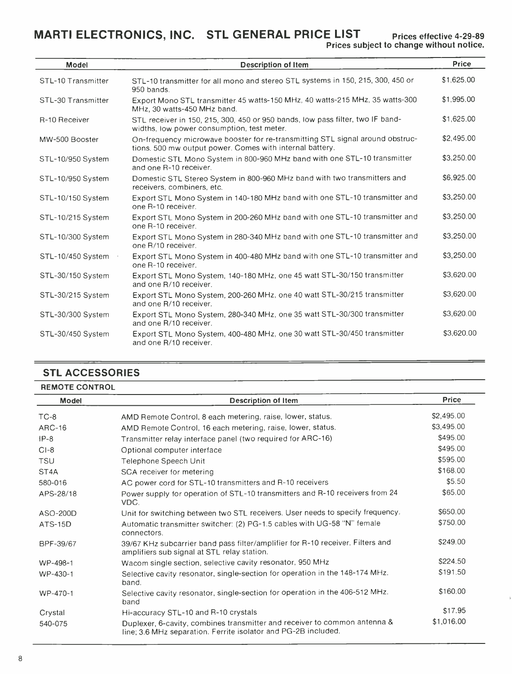MARTI ELECTRONICS, INC. STL GENERAL PRICE LIST

| <b>Model</b>       |                                                                                                                                           | Price      |
|--------------------|-------------------------------------------------------------------------------------------------------------------------------------------|------------|
|                    | <b>Description of Item</b>                                                                                                                |            |
| STL-10 Transmitter | STL-10 transmitter for all mono and stereo STL systems in 150, 215, 300, 450 or<br>950 bands.                                             | \$1,625.00 |
| STL-30 Transmitter | Export Mono STL transmitter 45 watts-150 MHz, 40 watts-215 MHz, 35 watts-300<br>MHz, 30 watts-450 MHz band.                               | \$1,995.00 |
| R-10 Receiver      | STL receiver in 150, 215, 300, 450 or 950 bands, low pass filter, two IF band-<br>widths, low power consumption, test meter.              | \$1,625.00 |
| MW-500 Booster     | On-frequency microwave booster for re-transmitting STL signal around obstruc-<br>tions. 500 mw output power. Comes with internal battery. | \$2,495.00 |
| STL-10/950 System  | Domestic STL Mono System in 800-960 MHz band with one STL-10 transmitter<br>and one R-10 receiver.                                        | \$3,250.00 |
| STL-10/950 System  | Domestic STL Stereo System in 800-960 MHz band with two transmitters and<br>receivers, combiners, etc.                                    | \$6,925.00 |
| STL-10/150 System  | Export STL Mono System in 140-180 MHz band with one STL-10 transmitter and<br>one R-10 receiver.                                          | \$3,250.00 |
| STL-10/215 System  | Export STL Mono System in 200-260 MHz band with one STL-10 transmitter and<br>one R-10 receiver.                                          | \$3,250.00 |
| STL-10/300 System  | Export STL Mono System in 280-340 MHz band with one STL-10 transmitter and<br>one R/10 receiver.                                          | \$3,250.00 |
| STL-10/450 System  | Export STL Mono System in 400-480 MHz band with one STL-10 transmitter and<br>one R-10 receiver.                                          | \$3,250.00 |
| STL-30/150 System  | Export STL Mono System, 140-180 MHz, one 45 watt STL-30/150 transmitter<br>and one R/10 receiver.                                         | \$3,620.00 |
| STL-30/215 System  | Export STL Mono System, 200-260 MHz, one 40 watt STL-30/215 transmitter<br>and one R/10 receiver.                                         | \$3,620.00 |
| STL-30/300 System  | Export STL Mono System, 280-340 MHz, one 35 watt STL-30/300 transmitter<br>and one R/10 receiver.                                         | \$3,620.00 |
| STL-30/450 System  | Export STL Mono System, 400-480 MHz, one 30 watt STL-30/450 transmitter<br>and one R/10 receiver.                                         | \$3,620.00 |

# STL ACCESSORIES

| <b>REMOTE CONTROL</b> |  |
|-----------------------|--|
|-----------------------|--|

| Model             | <b>Description of Item</b>                                                                                                                  | <b>Price</b> |
|-------------------|---------------------------------------------------------------------------------------------------------------------------------------------|--------------|
| $TC-8$            | AMD Remote Control, 8 each metering, raise, lower, status.                                                                                  | \$2,495.00   |
| <b>ARC-16</b>     | AMD Remote Control, 16 each metering, raise, lower, status.                                                                                 | \$3,495.00   |
| $IP-8$            | Transmitter relay interface panel (two required for ARC-16)                                                                                 | \$495.00     |
| $CI-8$            | Optional computer interface                                                                                                                 | \$495.00     |
| <b>TSU</b>        | Telephone Speech Unit                                                                                                                       | \$595.00     |
| ST <sub>4</sub> A | SCA receiver for metering                                                                                                                   | \$168.00     |
| 580-016           | AC power cord for STL-10 transmitters and R-10 receivers                                                                                    | \$5.50       |
| APS-28/18         | Power supply for operation of STL-10 transmitters and R-10 receivers from 24<br>VDC.                                                        | \$65.00      |
| ASO-200D          | Unit for switching between two STL receivers. User needs to specify frequency.                                                              | \$650.00     |
| ATS-15D           | Automatic transmitter switcher: (2) PG-1.5 cables with UG-58 "N" female<br>connectors.                                                      | \$750.00     |
| BPF-39/67         | 39/67 KHz subcarrier band pass filter/amplifier for R-10 receiver. Filters and<br>amplifiers sub signal at STL relay station.               | \$249.00     |
| WP-498-1          | Wacom single section, selective cavity resonator, 950 MHz                                                                                   | \$224.50     |
| WP-430-1          | Selective cavity resonator, single-section for operation in the 148-174 MHz.<br>band.                                                       | \$191.50     |
| WP-470-1          | Selective cavity resonator, single-section for operation in the 406-512 MHz.<br>band                                                        | \$160.00     |
| Crystal           | Hi-accuracy STL-10 and R-10 crystals                                                                                                        | \$17.95      |
| 540-075           | Duplexer, 6-cavity, combines transmitter and receiver to common antenna &<br>line; 3.6 MHz separation. Ferrite isolator and PG-2B included. | \$1,016.00   |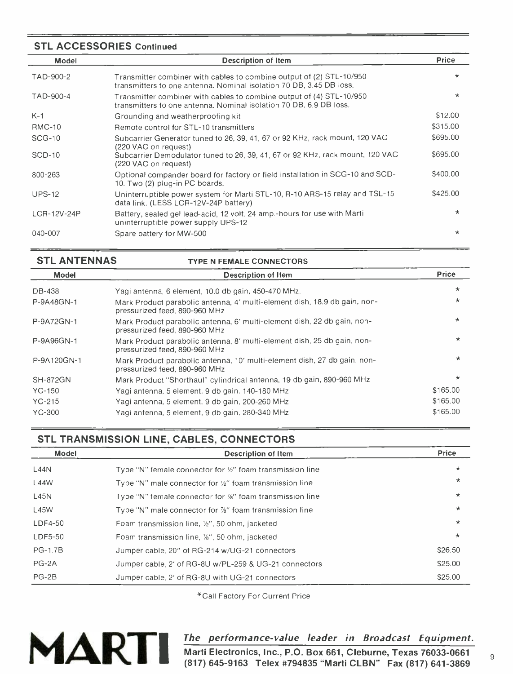## STL ACCESSORIES Continued

| Model         | Description of Item                                                                                                                         | <b>Price</b> |
|---------------|---------------------------------------------------------------------------------------------------------------------------------------------|--------------|
| TAD-900-2     | Transmitter combiner with cables to combine output of (2) STL-10/950<br>transmitters to one antenna. Nominal isolation 70 DB, 3.45 DB loss. | $\star$      |
| TAD-900-4     | Transmitter combiner with cables to combine output of (4) STL-10/950<br>transmitters to one antenna. Nominal isolation 70 DB, 6.9 DB loss.  | $\star$      |
| $K-1$         | Grounding and weatherproofing kit                                                                                                           | \$12,00      |
| <b>RMC-10</b> | Remote control for STL-10 transmitters                                                                                                      | \$315.00     |
| $SCG-10$      | Subcarrier Generator tuned to 26, 39, 41, 67 or 92 KHz, rack mount, 120 VAC<br>(220 VAC on request)                                         | \$695.00     |
| $SCD-10$      | Subcarrier Demodulator tuned to 26, 39, 41, 67 or 92 KHz, rack mount, 120 VAC<br>(220 VAC on request)                                       | \$695.00     |
| 800-263       | Optional compander board for factory or field installation in SCG-10 and SCD-<br>10. Two (2) plug-in PC boards.                             | \$400.00     |
| <b>UPS-12</b> | Uninterruptible power system for Marti STL-10, R-10 ARS-15 relay and TSL-15<br>data link. (LESS LCR-12V-24P battery)                        | \$425.00     |
| LCR-12V-24P   | Battery, sealed gel lead-acid, 12 volt. 24 amp.-hours for use with Marti<br>uninterruptible power supply UPS-12                             | $\star$      |
| 040-007       | Spare battery for MW-500                                                                                                                    | $\star$      |

## STL ANTENNAS TYPE N FEMALE CONNECTORS

| Model           | <b>Description of Item</b>                                                                                 | <b>Price</b> |
|-----------------|------------------------------------------------------------------------------------------------------------|--------------|
| DB-438          | Yagi antenna, 6 element, 10.0 db gain, 450-470 MHz.                                                        | $\star$      |
| P-9A48GN-1      | Mark Product parabolic antenna, 4' multi-element dish, 18.9 db gain, non-<br>pressurized feed, 890-960 MHz | $\star$      |
| P-9A72GN-1      | Mark Product parabolic antenna, 6' multi-element dish, 22 db gain, non-<br>pressurized feed, 890-960 MHz   | $\star$      |
| P-9A96GN-1      | Mark Product parabolic antenna, 8' multi-element dish, 25 db gain, non-<br>pressurized feed, 890-960 MHz   | $\star$      |
| P-9A120GN-1     | Mark Product parabolic antenna, 10' multi-element dish, 27 db gain, non-<br>pressurized feed, 890-960 MHz  | $\star$      |
| <b>SH-872GN</b> | Mark Product "Shorthaul" cylindrical antenna, 19 db gain, 890-960 MHz                                      | $\star$      |
| YC-150          | Yagi antenna, 5 element, 9 db gain, 140-180 MHz                                                            | \$165.00     |
| YC-215          | Yagi antenna, 5 element, 9 db gain, 200-260 MHz                                                            | \$165.00     |
| YC-300          | Yagi antenna, 5 element, 9 db gain, 280-340 MHz                                                            | \$165.00     |

# STL TRANSMISSION LINE, CABLES, CONNECTORS

| Model          | <b>Description of Item</b>                                            | <b>Price</b> |
|----------------|-----------------------------------------------------------------------|--------------|
| L44N           | Type "N" female connector for $\frac{1}{2}$ " foam transmission line  | $\star$      |
| L44W           | Type "N" male connector for $\frac{1}{2}$ " foam transmission line    | $\star$      |
| L45N           | Type "N" female connector for $\frac{76}{6}$ " foam transmission line | $\star$      |
| L45W           | Type "N" male connector for %" foam transmission line                 | $\star$      |
| $LDF4-50$      | Foam transmission line, 1/2", 50 ohm, jacketed                        | $\star$      |
| LDF5-50        | Foam transmission line, %", 50 ohm, jacketed                          | $\star$      |
| <b>PG-1.7B</b> | Jumper cable, 20" of RG-214 w/UG-21 connectors                        | \$26.50      |
| $PG-2A$        | Jumper cable, 2' of RG-8U w/PL-259 & UG-21 connectors                 | \$25.00      |
| $PG-2B$        | Jumper cable, 2' of RG-8U with UG-21 connectors                       | \$25.00      |

\*Call Factory For Current Price



## The performance -value leader in Broadcast Equipment.

Marti Electronics, Inc., P.O. Box 661, Cleburne, Texas 76033 -0661 (817) 645 -9163 Telex #794835 "Marti CLBN" Fax (817) 641 -3869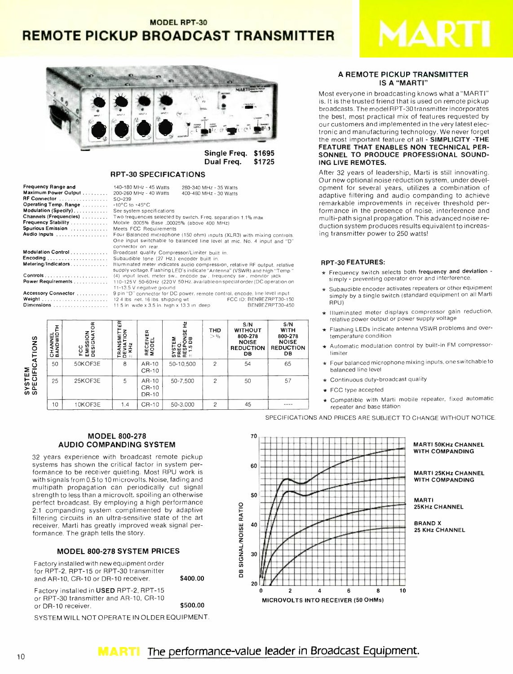# **MODEL RPT-30 REMOTE PICKUP BROADCAST TRANSMITTER**



**Single Freg.** \$1695 Dual Freq. \$1725

#### **RPT-30 SPECIFICATIONS**

| Frequency Range and    | 140-180 MHz - 45 Watts                                                       | 280-340 MHz - 35 Watts |                                |
|------------------------|------------------------------------------------------------------------------|------------------------|--------------------------------|
| Maximum Power Output   | 200-260 MHz - 40 Watts                                                       | 400-480 MHz - 30 Watts |                                |
| RF Connector           | $SO-239$                                                                     |                        |                                |
| Operating Temp. Range  | $-10^{\circ}$ C to $+45^{\circ}$ C                                           |                        |                                |
| Modulation (Specify).  | See system specifications                                                    |                        |                                |
| Channels (Frequencies) | Two frequencies selected by switch. Freq. separation 1.1% max                |                        |                                |
| Frequency Stability    | Mobile .0005% Base .00025% (above 400 MHz)                                   |                        |                                |
| Spurious Emission      | Meets FCC Requirements                                                       |                        |                                |
| Audio Inputs           | Four Balanced microphone (150 ohm) inputs (XLR3) with mixing controls.       |                        |                                |
|                        | One input switchable to balanced line level at mic. No. 4 input and "D"      |                        |                                |
|                        | connector on rear                                                            |                        |                                |
| Modulation Control     | Broadcast quality Compressor/Limiter built in.                               |                        |                                |
|                        | Subaudible tone (27 Hz.) encoder built in.                                   |                        |                                |
| Metering/Indicators    | Illuminated meter indicates audio compression, relative RF output, relative  |                        |                                |
|                        | supply voltage. Flashing LED's indicate "Antenna" (VSWR) and high "Temp '    |                        |                                |
|                        | (4) input level, meter sw., encode sw., frequency sw., monitor jack          |                        |                                |
| Power Requirements     | 110-125 V 50-60 Hz (220 V 50 Hz, available on special order (DC operation or |                        |                                |
|                        | 11-13.5 V negative ground                                                    |                        |                                |
| Accessory Connector    | 9 pin "D" connector for DC power, remote control, encode, line level input   |                        |                                |
|                        |                                                                              |                        | <b>FCC ID: BEN9EZRPT30-150</b> |
| Dimensions             | $11.5$ in wide x 3.5 in. high x 13.3 in deep                                 |                        | BEN9EZRPT30-450                |

| ATIONS                    | <b>CHANNEL</b><br>BANDWIDTH | g<br>z<br>GNAT<br>$\subseteq$<br>EMISSI<br>DESIGI<br>ပ<br>ပ<br>u. | 뜐<br>$\tilde{6}$<br>Σ<br>ഗ<br>N<br>ᄙ | 뜺<br>RECEIV<br>Modei    | ř<br>NSE<br>B<br>Σ<br>SYSTEM<br>FREQ<br>#1.5 DI<br>#1.5 DI | <b>THD</b><br>> 0/6 | S/N<br><b>WITHOUT</b><br>800-278<br><b>NOISE</b><br><b>REDUCTION</b><br><b>DB</b> | S/N<br>WITH<br>800-278<br><b>NOISE</b><br><b>REDUCTION</b><br>DB. |
|---------------------------|-----------------------------|-------------------------------------------------------------------|--------------------------------------|-------------------------|------------------------------------------------------------|---------------------|-----------------------------------------------------------------------------------|-------------------------------------------------------------------|
|                           | 50                          | 50KOF3E                                                           | 8                                    | $AR-10$<br>CR-10        | 50-10,500                                                  | $\overline{c}$      | 54                                                                                | 65                                                                |
| <b>SYSTEM</b><br>SPECIFIC | 25                          | 25KOF3E                                                           | 5                                    | AR-10<br>CR-10<br>DR-10 | 50-7,500                                                   | $\overline{2}$      | 50                                                                                | 57                                                                |
|                           | 10                          | 10KOF3E                                                           | 1.4                                  | $CR-10$                 | 50-3.000                                                   | $\overline{2}$      | 45                                                                                |                                                                   |

\$400.00

\$500.00

#### A REMOTE PICKUP TRANSMITTER **IS A "MARTI"**

Most everyone in broadcasting knows what a "MARTI" is. It is the trusted friend that is used on remote pickup broadcasts. The model RPT-30 transmitter incorporates the best, most practical mix of features requested by our customers and implemented in the very latest electronic and manufacturing technology. We never forget the most important feature of all - SIMPLICITY -THE FEATURE THAT ENABLES NON TECHNICAL PER-SONNEL TO PRODUCE PROFESSIONAL SOUND-ING LIVE REMOTES.

After 32 years of leadership, Marti is still innovating. Our new optional noise reduction system, under development for several years, utilizes a combination of adaptive filtering and audio companding to achieve remarkable improvements in receiver threshold performance in the presence of noise, interference and multi-path signal propagation. This advanced noise reduction system produces results equivalent to increasing transmitter power to 250 watts!

#### **RPT-30 FEATURES:**

- \* Frequency switch selects both frequency and deviation simply - preventing operator error and interference
- \* Subaudible encoder activates repeaters or other equipment simply by a single switch (standard equipment on all Marti RPU)
- \* Illuminated meter displays compressor gain reduction, relative power output or power supply voltage
- \* Flashing LEDs indicate antenna VSWR problems and overtemperature condition
- \* Automatic modulation control by built-in FM compressorlimiter
- $\star$  Four balanced microphone mixing inputs, one switchable to balanced line level
- Continuous duty-broadcast quality
- ★ FCC type accepted
- Compatible with Marti mobile repeater, fixed automatic repeater and base station

SPECIFICATIONS AND PRICES ARE SUBJECT TO CHANGE WITHOUT NOTICE.

#### **MODEL 800-278 AUDIO COMPANDING SYSTEM**

32 years experience with broadcast remote pickup systems has shown the critical factor in system performance to be receiver quieting. Most RPU work is with signals from 0.5 to 10 microvolts. Noise, fading and multipath propagation can periodically cut signal strength to less than a microvolt, spoiling an otherwise perfect broadcast. By employing a high performance 2:1 companding system complimented by adaptive filtering circuits in an ultra-sensitive state of the art receiver, Marti has greatly improved weak signal performance. The graph tells the story.

#### **MODEL 800-278 SYSTEM PRICES**

Factory installed with new equipment order for RPT-2, RPT-15 or RPT-30 transmitter and AR-10, CR-10 or DR-10 receiver.

Factory installed in USED RPT-2, RPT-15 or RPT-30 transmitter and AR-10, CR-10 or DR-10 receiver

SYSTEM WILL NOT OPERATE IN OLDER EQUIPMENT.



#### **MARTI 50KHz CHANNEL WITH COMPANDING**

**MARTI 25KHz CHANNEL WITH COMPANDING** 

**MARTI** 25KHz CHANNEL

**BRAND X** 25 KHz CHANNEL

The performance-value leader in Broadcast Equipment.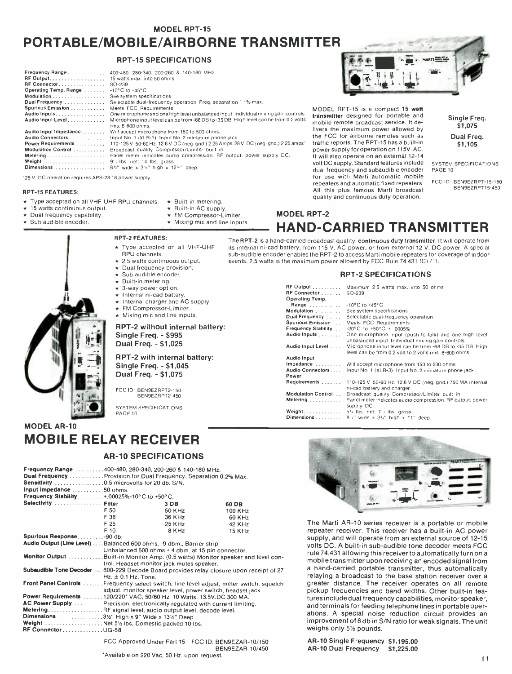#### **MODEL RPT-15**

# PORTABLE/MOBILE/AIRBORNE TRANSMITTER

#### RPT -15 SPECIFICATIONS

| Frequency Range<br>$RF$ Output, $\ldots \ldots \ldots \ldots \ldots \ldots$<br>RF Connector<br>Operating Temp. Range<br>Modulation<br>Dual Frequency<br>Spurious Emission<br>Audio Inputs.<br>Audio Input Level | 400-480, 280-340, 200-260 & 140-180 MHz<br>15 watts max. into 50 ohms<br>SO-239<br>$-10^{\circ}$ C to $+45^{\circ}$ C<br>See system specifications<br>Selectable dual-frequency operation Freq. separation 1 1% max.<br>Meets FCC Requirements<br>One microphone and one high level unbalanced input Individual mixing gain controls<br>Microphone input level can be from -68 DB to -35 DB High level can be from 0 2 volts<br>rms. 8-600 ohms. |
|-----------------------------------------------------------------------------------------------------------------------------------------------------------------------------------------------------------------|--------------------------------------------------------------------------------------------------------------------------------------------------------------------------------------------------------------------------------------------------------------------------------------------------------------------------------------------------------------------------------------------------------------------------------------------------|
| Audio Input Impedance                                                                                                                                                                                           | Will accept microphone from 150 to 500 ohms.                                                                                                                                                                                                                                                                                                                                                                                                     |
| Audio Connectors                                                                                                                                                                                                | Input No. 1 (XLR-3). Input No. 2 miniature phone jack                                                                                                                                                                                                                                                                                                                                                                                            |
| Power Requirements                                                                                                                                                                                              | 110-125 V 50-60 Hz. 12.6 V DC (neq. gnd.) 2 25 Amps. 28 V. DC (neg. gnd.) 2 25 amps*                                                                                                                                                                                                                                                                                                                                                             |
| Modulation Control                                                                                                                                                                                              | Broadcast quality Compressor/Limiter built in                                                                                                                                                                                                                                                                                                                                                                                                    |
| Metering                                                                                                                                                                                                        | Panel meter indicates audio compression. RF output, power supply DC.                                                                                                                                                                                                                                                                                                                                                                             |
| Weight                                                                                                                                                                                                          | $9'$ Ibs net: 14 lbs. gross                                                                                                                                                                                                                                                                                                                                                                                                                      |
| Dimensions                                                                                                                                                                                                      | $8\%$ " wide x $3\%$ " high x $12\%$ " deep.                                                                                                                                                                                                                                                                                                                                                                                                     |

'28 V. DC operation requires APS -28 18 power supply.

#### RPT -15 FEATURES:

- Type accepted on all VHF-UHF RPU channels.  $\star$  Built-in metering.
- 15 watts continuous output.<br>Dual frequency capability.<br>Sub audible encoder.
- 
- 

#### RPT -2 FEATURES:

Type accepted on all VHF-UHF

\* Built-in AC supply.<br>\* FM Compressor-Limiter.  $\star$  Mixing mic and line inputs.

- RPU channels.
- 2.5 watts continuous output.<br>
Dual frequency provision.<br>
Sub audible encoder.<br>
Built-in metering.
- 
- 
- 
- 
- 
- 3-way power option.<br>
Internal ni-cad battery.<br>
Internal charger and AC supply.<br>
FM Compressor-Limiter.
- Mixing mic and line inputs.
- RPT-2 without internal battery:

#### Single Freq. - \$995 Dual Freq. - \$1,025

#### RPT -2 with internal battery: Single Freq. - \$1,045 Dual Freq. - \$1,075

FCC ID: BEN9EZRPT2 -150

SYSTEM SPECIFICATIONS PAGE 10

# MODEL AR -10 MOBILE RELAY RECEIVER

#### AR -10 SPECIFICATIONS

| Frequency Range 400-480, 280-340, 200-260 & 140-180 MHz.                                |                                                                   |                  |  |         |  |
|-----------------------------------------------------------------------------------------|-------------------------------------------------------------------|------------------|--|---------|--|
|                                                                                         | Dual Frequency Provision for Dual Frequency. Separation 0.2% Max. |                  |  |         |  |
|                                                                                         | Sensitivity 0.5 microvolts for 20 db. S/N.                        |                  |  |         |  |
| Input impedance 50 ohms.                                                                |                                                                   |                  |  |         |  |
| <b>Frequency Stability</b> +.00025%-10°C to +50°C.                                      |                                                                   |                  |  |         |  |
| Selectivity Filter                                                                      |                                                                   | 3 <sub>D</sub> B |  | 60 DB   |  |
|                                                                                         | F 50                                                              | 50 KHz           |  | 100 KHz |  |
|                                                                                         | F 36                                                              | 36 KHz           |  | 60 KHz  |  |
|                                                                                         | F 25                                                              | 25 KHz           |  | 42 KHz  |  |
|                                                                                         | F 10                                                              | 8 KHz            |  | 15 KHz  |  |
| Spurious Response-90 db.                                                                |                                                                   |                  |  |         |  |
| Audio Output (Line Level) Balanced 600 ohms. -9 dbm., Barrier strip.                    |                                                                   |                  |  |         |  |
|                                                                                         | Unbalanced 600 ohms + 4 dbm, at 15 pin connector.                 |                  |  |         |  |
| Monitor Output Built-in Monitor Amp. (0.5 watts) Monitor speaker and level con-         |                                                                   |                  |  |         |  |
|                                                                                         | trol. Headset monitor jack mutes speaker.                         |                  |  |         |  |
| Subaudible Tone Decoder 800-229 Decode Board provides relay closure upon receipt of 27  |                                                                   |                  |  |         |  |
|                                                                                         | $Hz. \pm 0.1 Hz.$                                                 |                  |  |         |  |
| Front Panel Controls  Frequency select switch, line level adjust, meter switch, squelch |                                                                   |                  |  |         |  |
|                                                                                         | adjust, monitor speaker level, power switch, headset jack.        |                  |  |         |  |
| Power Requirements 120/220* VAC, 50/60 Hz. 10 Watts. 13.5V.DC 300 MA.                   |                                                                   |                  |  |         |  |
| AC Power Supply  Precision, electronically requiated with current limiting.             |                                                                   |                  |  |         |  |
| MeteringRF signal level, audio output level, decode level.                              |                                                                   |                  |  |         |  |
|                                                                                         | Dimensions 31/2" High x 9" Wide x 131/2" Deep.                    |                  |  |         |  |
| Weight  Net 51/2 ibs. Domestic packed 10 lbs.                                           |                                                                   |                  |  |         |  |
| <b>RF ConnectorUG-58</b>                                                                |                                                                   |                  |  |         |  |
|                                                                                         | FCC Approved Under Part 15 FCC ID: BEN9EZAR-10/150                |                  |  |         |  |

BEN9EZAR- 10/450 'Available on 220 Vac, 50 Hz. upon request.



MODEL RPT-15 is a compact 15 watt transmitter designed for portable and mobile remote broadcast service. It delivers the maximum power allowed by the FCC for airborne remotes such as traffic reports. The RPT -15 has a built -in power supply for operation on 115V. AC. It will also operate on an external 12-14 volt DC supply. Standard features include dual frequency and subaudible encoder for use with Marti automatic mobile repeaters and automatic fixed repeaters. All this plus famous Marti broadcast quality and continuous duty operation.

Single Freq. 51,075 Dual Freq. S1,105

SYSTEM SPECIFICATIONS PAGE 10

FCC ID: BEN9EZRPT -15 -150 BEN9EZRPT15 -450

# **MODEL RPT-2** HAND -CARRIED TRANSMITTER

The RPT-2 is a hand-carried broadcast quality, continuous duty transmitter. It will operate from its internal ni -cad battery, from 115 V. AC power, or from external 12 V. DC power. A special sub -audible encoder enables the RPT -2 to access Marti mobile repeaters for coverage of indoor events. 2.5 watts is the maximum power allowed by FCC Rule 74.431 (C1 (11.

#### RPT -2 SPECIFICATIONS

| Operating Temp.<br>Range  - 10°C to +45°C<br>Modulation<br>See system specifications<br>Dual Frequency<br>Selectable dual-frequency operation<br>Spurious Emission<br>Meets FCC Requirements<br>Frequency Stability<br>$-30^{\circ}$ C to $+50^{\circ}$ C + 0005%<br>Audio Inputs<br>One microphone input (push-to-talk) and one high level<br>unbalanced input. Individual mixing gain controls.<br>Audio Input Level<br>Microphone input level can be from -68 DB to -35 DB. High<br>level can be from 0.2 yolt to 2 yolts rms 8-600 ohms<br><b>Audio Input</b> |  |
|-------------------------------------------------------------------------------------------------------------------------------------------------------------------------------------------------------------------------------------------------------------------------------------------------------------------------------------------------------------------------------------------------------------------------------------------------------------------------------------------------------------------------------------------------------------------|--|
|                                                                                                                                                                                                                                                                                                                                                                                                                                                                                                                                                                   |  |
|                                                                                                                                                                                                                                                                                                                                                                                                                                                                                                                                                                   |  |
|                                                                                                                                                                                                                                                                                                                                                                                                                                                                                                                                                                   |  |
|                                                                                                                                                                                                                                                                                                                                                                                                                                                                                                                                                                   |  |
|                                                                                                                                                                                                                                                                                                                                                                                                                                                                                                                                                                   |  |
|                                                                                                                                                                                                                                                                                                                                                                                                                                                                                                                                                                   |  |
|                                                                                                                                                                                                                                                                                                                                                                                                                                                                                                                                                                   |  |
|                                                                                                                                                                                                                                                                                                                                                                                                                                                                                                                                                                   |  |
| $impedance$<br>Will accept microphone from 150 to 500 ohms.                                                                                                                                                                                                                                                                                                                                                                                                                                                                                                       |  |
| Audio Connectors<br>Input No. 1 (XLR-3). Input No. 2 miniature phone jack<br>Power                                                                                                                                                                                                                                                                                                                                                                                                                                                                                |  |
| Requirements<br>1*0-125 V 50-60 Hz. 12.6 V DC (neg. gnd.) 750 MA internal<br>ni-cad battery and charger                                                                                                                                                                                                                                                                                                                                                                                                                                                           |  |
| <b>Modulation Control</b><br>Broadcast quality Compressor/Limiter built in                                                                                                                                                                                                                                                                                                                                                                                                                                                                                        |  |
| Metering<br>Panel meter indicates audio compression. RF output, power<br>supply DC                                                                                                                                                                                                                                                                                                                                                                                                                                                                                |  |
|                                                                                                                                                                                                                                                                                                                                                                                                                                                                                                                                                                   |  |



The Marti AR-10 series receiver is a portable or mobile repeater receiver. This receiver has a built-in AC power supply, and will operate from an external source of 12-15 volts DC. A built-in sub-audible tone decoder meets FCC<br>rule 74.431 allowing this receiver to automatically turn on a mobile transmitter upon receiving an encoded signal from a hand-carried portable transmitter, thus automatically relaying a broadcast to the base station receiver over a greater distance. The receiver operates on all remote pickup frequencies and band widths. Other built-in features include dual frequency capabilities, monitor speaker, and terminals for feeding telephone lines in portable operations. A special noise reduction circuit provides an improvement of 6 db in S/N ratio for weak signals. The unit weighs only 51/2 pounds.

AR -10 Single Frequency \$1.195.00 AR -10 Dual Frequency \$1.225.00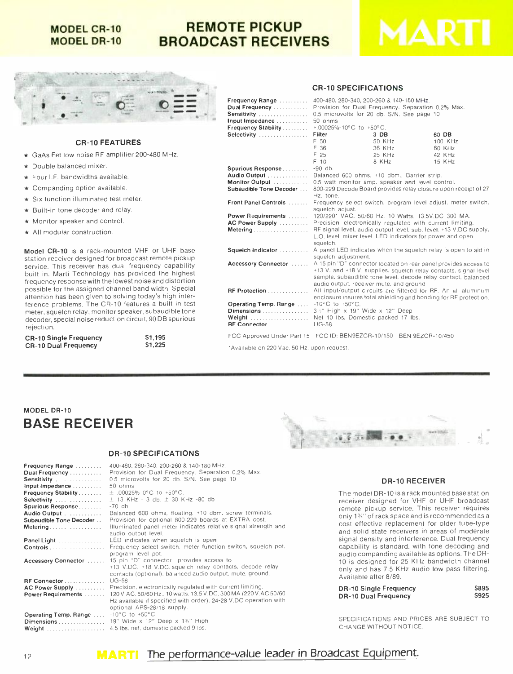### **MODEL CR-10 MODEL DR-10**

# REMOTE PICKUP BROADCAST RECEIVERS





#### CR -10 FEATURES

- $\star$  GaAs Fet low noise RF amplifier 200-480 MHz.
- Double balanced mixer.
- $\star$  Four I.F. bandwidths available.
- $\star$  Companding option available.
- $*$  Six function illuminated test meter.
- $\star$  Built-in tone decoder and relay.
- $\star$  Monitor speaker and control.
- $\star$  All modular construction.

Model CR-10 is a rack-mounted VHF or UHF base station receiver designed for broadcast remote pickup service. This receiver has dual frequency capability built in. Marti Technology has provided the highest frequency response with the lowest noise and distortion possible for the assigned channel band width. Special attention has been given to solving today's high interference problems. The CR-10 features a built-in test meter, squelch relay, monitor speaker, subaudible tone decoder, special noise reduction circuit, 90 DB spurious rejection.

| <b>CR-10 Single Frequency</b> | \$1.195 |
|-------------------------------|---------|
| <b>CR-10 Dual Frequency</b>   | \$1,225 |

# $$1,195$ <br> $$1,225$

| Frequency Range<br>Dual Frequency<br>Sensitivity<br>Input Impedance                     | 400-480, 280-340, 200-260 & 140-180 MHz.<br>Provision for Dual Frequency. Separation 0.2% Max.<br>0.5 microvolts for 20 db. S/N. See page 10<br>50 ohms                                                                                                                    |                                                            |         |  |  |
|-----------------------------------------------------------------------------------------|----------------------------------------------------------------------------------------------------------------------------------------------------------------------------------------------------------------------------------------------------------------------------|------------------------------------------------------------|---------|--|--|
| Frequency Stability                                                                     | +.00025%-10°C to +50°C.                                                                                                                                                                                                                                                    |                                                            |         |  |  |
| Selectivity                                                                             | Filter                                                                                                                                                                                                                                                                     | $3$ DB                                                     | 60 DB   |  |  |
|                                                                                         | F 50                                                                                                                                                                                                                                                                       | 50 KHz                                                     | 100 KHz |  |  |
|                                                                                         | F 36                                                                                                                                                                                                                                                                       | 36 KHz                                                     | 60 KHz  |  |  |
|                                                                                         | F 25                                                                                                                                                                                                                                                                       | 25 KHz                                                     | 42 KHz  |  |  |
|                                                                                         | F 10                                                                                                                                                                                                                                                                       | 8 KHz                                                      | 15 KHz  |  |  |
| <b>Spurious Response</b>                                                                | $-90$ db.                                                                                                                                                                                                                                                                  |                                                            |         |  |  |
|                                                                                         | Audio Output  Balanced 600 ohms. +10 dbm., Barrier strip.                                                                                                                                                                                                                  |                                                            |         |  |  |
| Monitor Output                                                                          | 0.5 watt monitor amp, speaker and level control.                                                                                                                                                                                                                           |                                                            |         |  |  |
| Subaudible Tone Decoder                                                                 | 800-229 Decode Board provides relay closure upon receipt of 27<br>Hz. tone.                                                                                                                                                                                                |                                                            |         |  |  |
| Front Panel Controls                                                                    | Frequency select switch, program level adjust, meter switch,<br>squelch adjust.                                                                                                                                                                                            |                                                            |         |  |  |
| Power Requirements                                                                      | 120/220" VAC, 50/60 Hz, 10 Watts, 13.5V.DC 300 MA.                                                                                                                                                                                                                         |                                                            |         |  |  |
| <b>AC Power Supply Act Act Power Supply</b>                                             | Precision, electronically regulated with current limiting.                                                                                                                                                                                                                 |                                                            |         |  |  |
| Metering                                                                                | RF signal level, audio output level, sub, level, +13 V.DC supply,<br>squelch.                                                                                                                                                                                              | L.O. level, mixer level. LED indicators for power and open |         |  |  |
| <b>Squelch Indicator</b> A panel LED indicates when the squelch relay is open to aid in | squelch adjustment.                                                                                                                                                                                                                                                        |                                                            |         |  |  |
|                                                                                         | <b>Accessory Connector</b> A 15 pin "D" connector located on rear panel provides access to<br>+13 V. and +18 V. supplies, squelch relay contacts, signal level<br>sample, subaudible tone level, decode relay contact, balanced<br>audio output, receiver mute, and ground |                                                            |         |  |  |
| RF Protection                                                                           | All input/output circuits are filtered for RF. An all aluminum<br>enclosure insures total shielding and bonding for RF protection.                                                                                                                                         |                                                            |         |  |  |
| <b>Operating Temp. Range</b>                                                            | $-10^{\circ}$ C to $+50^{\circ}$ C.                                                                                                                                                                                                                                        |                                                            |         |  |  |
|                                                                                         | 3%" High x 19" Wide x 12" Deep                                                                                                                                                                                                                                             |                                                            |         |  |  |
| Weight<br>RF Connector                                                                  | Net 10 Ibs. Domestic packed 17 Ibs.<br><b>UG-58</b>                                                                                                                                                                                                                        |                                                            |         |  |  |
| FCC Approved Under Part 15 FCC ID: BEN9EZCR-10/150 BEN 9EZCR-10/450                     |                                                                                                                                                                                                                                                                            |                                                            |         |  |  |

'Available on 220 Vac, 50 Hz. upon request.

# MODEL DR-10 BASE RECEIVER

#### DR-10 SPECIFICATIONS

| Frequency Range            | 400-480, 280-340, 200-260 & 140-180 MHz.                         |
|----------------------------|------------------------------------------------------------------|
| Dual Frequency             | Provision for Dual Frequency. Separation 0.2% Max.               |
| Sensitivity                | 0.5 microvolts for 20 db. S/N. See page 10                       |
| Input Impedance            | 50 ohms                                                          |
| <b>Frequency Stability</b> | $\pm$ .00025% 0°C to +50°C.                                      |
| Selectivity                | $\pm$ 13 KHz - 3 db. $\pm$ 30 KHz -80 db                         |
| Spurious Response          | $-70$ db.                                                        |
| Audio Output               | Balanced 600 ohms, floating, +10 dbm, screw terminals.           |
| Subaudible Tone Decoder    | Provision for optional 800-229 boards at EXTRA cost.             |
| Metering                   | Illuminated panel meter indicates relative signal strength and   |
|                            | audio output level.                                              |
| Panel Light                | LED indicates when squelch is open                               |
|                            | Frequency select switch, meter function switch, squelch pot.     |
|                            | program level pot.                                               |
| Accessory Connector        | 15 pin "D" connector provides access to                          |
|                            | +13 V.DC. +18 V.DC, squelch relay contacts, decode relay         |
|                            | contacts (optional), balanced audio output, mute, ground.        |
| RF Connector               | $UG-58$                                                          |
| AC Power Supply            | Precision, electronically regulated with current limiting.       |
| Power Requirements         | 120 V.AC, 50/60 Hz., 10 watts, 13.5 V.DC, 300 MA (220 V.AC 50/60 |
|                            | Hz available if specified with order). 24-28 V.DC operation with |
|                            | optional APS-28/18 supply.                                       |
| Operating Temp. Range      | $-10^{\circ}$ C to $+50^{\circ}$ C.                              |
|                            | $19$ " Wide x 12" Deep x 1%" High                                |
|                            | Weight  4.5 lbs. net, domestic packed 9 lbs.                     |



#### DR-10 RECEIVER

The model DR-10 is a rack mounted base station receiver designed for VHF or UHF broadcast remote pickup service. This receiver requires only 13/4" of rack space and is recommended as a cost effective replacement for older tube-type and solid state receivers in areas of moderate signal density and interference. Dual frequency capability is standard, with tone decoding and audio companding available as options. The DR-10 is designed for 25 KHz bandwidth channel only and has 7.5 KHz audio low pass filtering. Available after 8/89.

| <b>DR-10 Single Frequency</b> | \$895 |
|-------------------------------|-------|
| <b>DR-10 Dual Frequency</b>   | \$925 |

SPECIFICATIONS AND PRICES ARE SUBJECT TO CHANGE WITHOUT NOTICE.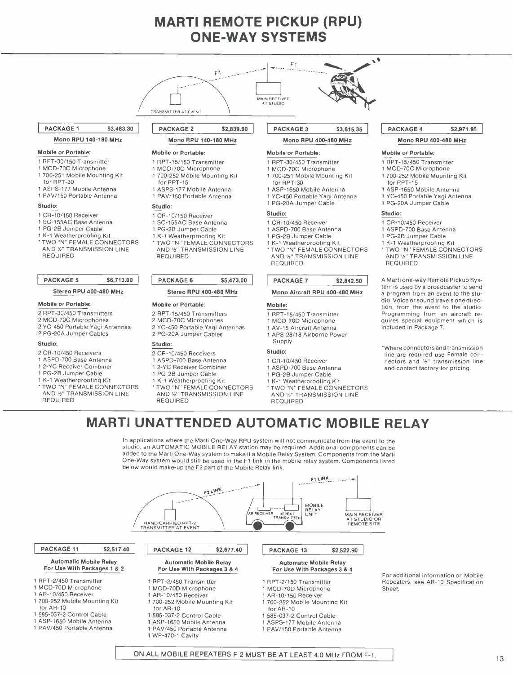# MARTI REMOTE PICKUP (RPU) ONE -WAY SYSTEMS

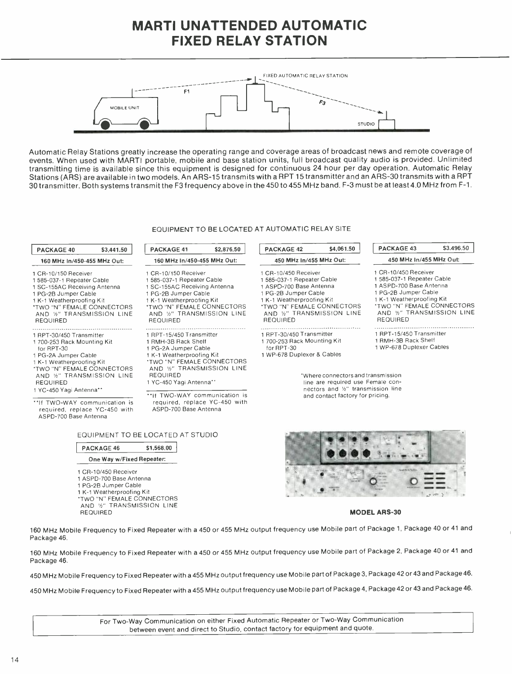# MARTI UNATTENDED AUTOMATIC FIXED RELAY STATION



Automatic Relay Stations greatly increase the operating range and coverage areas of broadcast news and remote coverage of events. When used with MARTI portable, mobile and base station units, full broadcast quality audio is provided. Unlimited transmitting time is available since this equipment is designed for continuous 24 hour per day operation. Automatic Relay Stations (ARS) are available in two models. An ARS -15 transmits with a RPT 15 transmitter and an ARS -30 transmits with a RPT 30 transmitter. Both systems transmit the F3 frequency above in the 450 to 455 MHz band. F -3 must be at least 4.0 MHz from F -1.

#### EQUIPMENT TO BE LOCATED AT AUTOMATIC RELAY SITE

| PACKAGE 40                                                                                                                                                                                                                        | \$3,441.50 | PACKAGE 41                                                                                                                                                                                                            | \$2,876.50 | <b>PACKAGE 42</b>                                                                                                                                                                                               | \$4,061.50 | <b>PACKAGE 43</b>                                                                                                                                                                                                 | \$3,496.50 |
|-----------------------------------------------------------------------------------------------------------------------------------------------------------------------------------------------------------------------------------|------------|-----------------------------------------------------------------------------------------------------------------------------------------------------------------------------------------------------------------------|------------|-----------------------------------------------------------------------------------------------------------------------------------------------------------------------------------------------------------------|------------|-------------------------------------------------------------------------------------------------------------------------------------------------------------------------------------------------------------------|------------|
| 160 MHz In/450-455 MHz Out:                                                                                                                                                                                                       |            | 160 MHz In/450-455 MHz Out:                                                                                                                                                                                           |            | 450 MHz In/455 MHz Out:                                                                                                                                                                                         |            | 450 MHz In/455 MHz Out:                                                                                                                                                                                           |            |
| 1 CR-10/150 Receiver<br>1585-037-1 Repeater Cable<br>1 SC-155AC Receiving Antenna<br>1 PG-2B Jumper Cable<br>1 K-1 Weatherproofing Kit<br><b><i>'TWO "N" FEMALE CONNECTORS</i></b><br>AND %" TRANSMISSION LINE<br><b>REQUIRED</b> |            | 1 CR-10/150 Receiver<br>1585-037-1 Repeater Cable<br>1 SC-155AC Receiving Antenna<br>1 PG-2B Jumper Cable<br>1 K-1 Weatherproofing Kit<br>'TWO "N" FEMALE CONNECTORS<br>AND 1/2" TRANSMISSION LINE<br><b>REQUIRED</b> |            | 1 CR-10/450 Receiver<br>1 585-037-1 Repeater Cable<br>1 ASPD-700 Base Antenna<br>1 PG-2B Jumper Cable<br>1 K-1 Weatherproofing Kit<br>*TWO "N" FEMALE CONNECTORS<br>AND %" TRANSMISSION LINE<br><b>REQUIRED</b> |            | 1 CR-10/450 Receiver<br>1 585-037-1 Repeater Cable<br>1 ASPD-700 Base Antenna<br>1 PG-2B Jumper Cable<br>1 K-1 Weatherproofing Kit<br>*TWO "N" FEMALE CONNECTORS<br>AND 1/2" TRANSMISSION LINE<br><b>REQUIRED</b> |            |
| 1 RPT-30/450 Transmitter<br>1 700-253 Rack Mounting Kit<br>for RPT-30<br>1 PG-2A Jumper Cable<br>1 K-1 Weatherproofing Kit                                                                                                        |            | 1 RPT-15/450 Transmitter<br>1 RMH-3B Rack Shelf<br>1 PG-2A Jumper Cable<br>1 K-1 Weatherproofing Kit<br>*TWO "N" FEMALE CONNECTORS<br>AND %" TRANSMISSION LINE                                                        |            | 1 RPT-30/450 Transmitter<br>1700-253 Rack Mounting Kit<br>for RPT-30<br>1 WP-678 Duplexer & Cables                                                                                                              |            | 1 RPT-15/450 Transmitter<br>1 RMH-3B Rack Shelf<br>1 WP-678 Duplexer Cables                                                                                                                                       |            |
| *TWO "N" FEMALE CONNECTORS<br>AND 1/2" TRANSMISSION LINE<br><b>REQUIRED</b><br>1 YC-450 Yagi Antenna**<br>**If TWO-WAY communication is<br>required, replace YC-450 with<br>ASPD-700 Base Antenna                                 |            | <b>REQUIRED</b><br>1 YC-450 Yagi Antenna**<br>**If TWO-WAY communication is<br>required, replace YC-450 with<br>ASPD-700 Base Antenna                                                                                 |            | *Where connectors and transmission<br>line are required use Female con-<br>nectors and 1/2" transmission line<br>and contact factory for pricing.                                                               |            |                                                                                                                                                                                                                   |            |

#### EQUIPMENT TO BE LOCATED AT STUDIO

\$1,568.00

| <b>PACKAGE 46</b> |  |
|-------------------|--|
|                   |  |

#### One Way w/Fixed Repeater:

- <sup>1</sup>CR- 10/450 Receiver
- 1 ASPD-700 Base Antenna
- <sup>1</sup>PG -2B Jumper Cable
- <sup>1</sup>K -1 Weatherproofing Kit
- 
- 
- 'TWO "N" FEMALE CONNECTORS AND 1/2" TRANSMISSION LINE REQUIRED



#### **MODEL ARS-30**

<sup>160</sup>MHz Mobile Frequency to Fixed Repeater with a 450 or 455 MHz output frequency use Mobile part of Package 1, Package 40 or 41 and Package 46.

<sup>160</sup>MHz Mobile Frequency to Fixed Repeater with a 450 or 455 MHz output frequency use Mobile part of Package 2, Package 40 or 41 and Package 46.

450 MHz Mobile Frequency to Fixed Repeater with a 455 MHz output frequency use Mobile part of Package 3, Package 42 or43 and Package46.

450 MHz Mobile Frequency to Fixed Repeater with a 455 MHz output frequency use Mobile part of Package 4, Package 42 or 43 and Package 46.

For Two-Way Communication on either Fixed Automatic Repeater or Two-Way Communication between event and direct to Studio, contact factory for equipment and quote.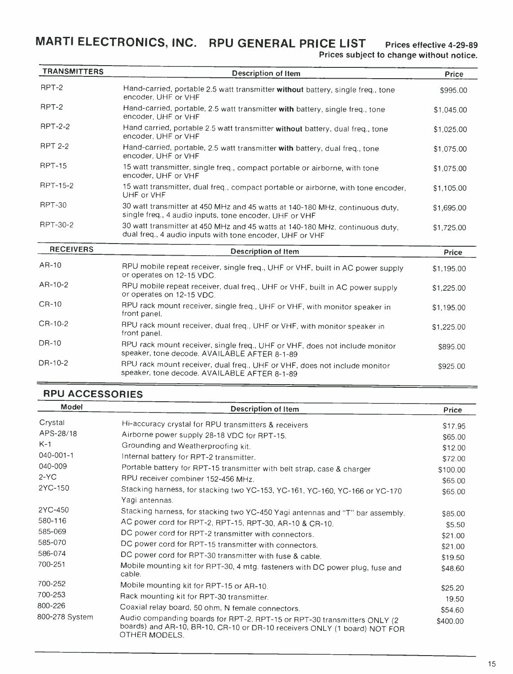MARTI ELECTRONICS, INC. RPU GENERAL PRICE LIST Prices effective 4-29-89

Prices subject to change without notice.

| <b>TRANSMITTERS</b> | <b>Description of Item</b>                                                                                                               | Price      |
|---------------------|------------------------------------------------------------------------------------------------------------------------------------------|------------|
| RPT-2               | Hand-carried, portable 2.5 watt transmitter without battery, single freq., tone<br>encoder, UHF or VHF                                   | \$995.00   |
| RPT-2               | Hand-carried, portable, 2.5 watt transmitter with battery, single freq., tone<br>encoder, UHF or VHF                                     | \$1,045.00 |
| <b>RPT-2-2</b>      | Hand carried, portable 2.5 watt transmitter without battery, dual freq., tone<br>encoder, UHF or VHF                                     | \$1,025.00 |
| <b>RPT 2-2</b>      | Hand-carried, portable, 2.5 watt transmitter with battery, dual freq., tone<br>encoder. UHF or VHF                                       | \$1,075.00 |
| <b>RPT-15</b>       | 15 watt transmitter, single freq., compact portable or airborne, with tone<br>encoder, UHF or VHF                                        | \$1,075.00 |
| RPT-15-2            | 15 watt transmitter, dual freq., compact portable or airborne, with tone encoder,<br>UHF or VHF                                          | \$1,105.00 |
| <b>RPT-30</b>       | 30 watt transmitter at 450 MHz and 45 watts at 140-180 MHz, continuous duty,<br>single freq., 4 audio inputs, tone encoder, UHF or VHF   | \$1,695.00 |
| RPT-30-2            | 30 watt transmitter at 450 MHz and 45 watts at 140-180 MHz, continuous duty,<br>dual freq., 4 audio inputs with tone encoder, UHF or VHF | \$1,725.00 |
| <b>RECEIVERS</b>    | <b>Description of Item</b>                                                                                                               | Price      |
| AR-10               | RPU mobile repeat receiver, single freq., UHF or VHF, built in AC power supply<br>or operates on 12-15 VDC.                              | \$1,195.00 |
| $AR-10-2$           | RPU mobile repeat receiver, dual freq., UHF or VHF, built in AC power supply<br>or operates on 12-15 VDC.                                | \$1,225.00 |
| CR-10               | RPU rack mount receiver, single freq., UHF or VHF, with monitor speaker in<br>front panel.                                               | \$1,195.00 |
| CR-10-2             | RPU rack mount receiver, dual freq., UHF or VHF, with monitor speaker in<br>front panel.                                                 | \$1,225.00 |
| DR-10               | RPU rack mount receiver, single freq., UHF or VHF, does not include monitor<br>speaker, tone decode. AVAILABLE AFTER 8-1-89              | \$895.00   |
| DR-10-2             | RPU rack mount receiver, dual freq., UHF or VHF, does not include monitor<br>speaker, tone decode. AVAILABLE AFTER 8-1-89                | \$925.00   |

# RPU ACCESSORIES

| <b>Model</b>    | <b>Description of Item</b>                                                                                                                                             | Price    |
|-----------------|------------------------------------------------------------------------------------------------------------------------------------------------------------------------|----------|
| Crystal         | Hi-accuracy crystal for RPU transmitters & receivers                                                                                                                   | \$17.95  |
| APS-28/18       | Airborne power supply 28-18 VDC for RPT-15.                                                                                                                            | \$65.00  |
| $K-1$           | Grounding and Weatherproofing kit.                                                                                                                                     | \$12.00  |
| $040 - 001 - 1$ | Internal battery for RPT-2 transmitter.                                                                                                                                | \$72.00  |
| 040-009         | Portable battery for RPT-15 transmitter with belt strap, case & charger                                                                                                | \$100.00 |
| $2-YC$          | RPU receiver combiner 152-456 MHz.                                                                                                                                     | \$65.00  |
| 2YC-150         | Stacking harness, for stacking two YC-153, YC-161, YC-160, YC-166 or YC-170<br>Yagi antennas.                                                                          | \$65.00  |
| 2YC-450         | Stacking harness, for stacking two YC-450 Yagi antennas and "T" bar assembly.                                                                                          | \$85.00  |
| 580-116         | AC power cord for RPT-2, RPT-15, RPT-30, AR-10 & CR-10.                                                                                                                | \$5.50   |
| 585-069         | DC power cord for RPT-2 transmitter with connectors.                                                                                                                   | \$21.00  |
| 585-070         | DC power cord for RPT-15 transmitter with connectors.                                                                                                                  | \$21.00  |
| 586-074         | DC power cord for RPT-30 transmitter with fuse & cable.                                                                                                                | \$19.50  |
| 700-251         | Mobile mounting kit for RPT-30, 4 mtg. fasteners with DC power plug, fuse and<br>cable.                                                                                | \$48.60  |
| 700-252         | Mobile mounting kit for RPT-15 or AR-10.                                                                                                                               | \$25.20  |
| 700-253         | Rack mounting kit for RPT-30 transmitter.                                                                                                                              | 19.50    |
| 800-226         | Coaxial relay board, 50 ohm, N female connectors.                                                                                                                      | \$54.60  |
| 800-278 System  | Audio companding boards for RPT-2, RPT-15 or RPT-30 transmitters ONLY (2<br>boards) and AR-10, BR-10, CR-10 or DR-10 receivers ONLY (1 board) NOT FOR<br>OTHER MODELS. | \$400.00 |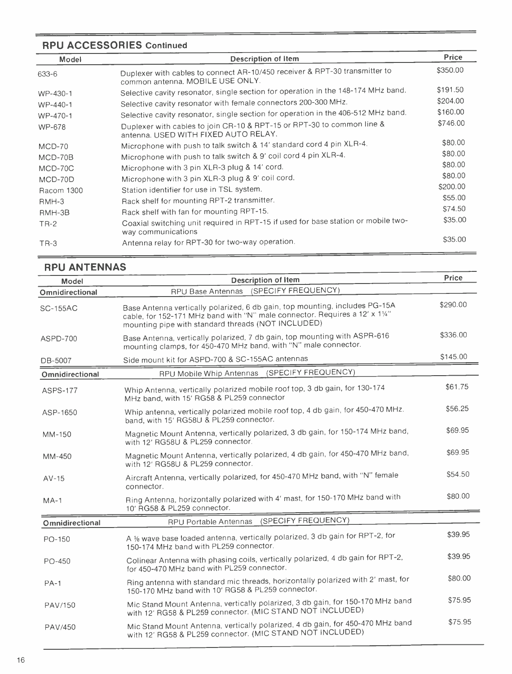# RPU ACCESSORIES Continued

| Model         | <b>Description of Item</b>                                                                                     | <b>Price</b> |
|---------------|----------------------------------------------------------------------------------------------------------------|--------------|
| 633-6         | Duplexer with cables to connect AR-10/450 receiver & RPT-30 transmitter to<br>common antenna. MOBILE USE ONLY. | \$350.00     |
| WP-430-1      | Selective cavity resonator, single section for operation in the 148-174 MHz band.                              | \$191.50     |
| WP-440-1      | Selective cavity resonator with female connectors 200-300 MHz.                                                 | \$204.00     |
| WP-470-1      | Selective cavity resonator, single section for operation in the 406-512 MHz band.                              | \$160.00     |
| <b>WP-678</b> | Duplexer with cables to join CR-10 & RPT-15 or RPT-30 to common line &<br>antenna. USED WITH FIXED AUTO RELAY. | \$746.00     |
| $MCD-70$      | Microphone with push to talk switch & 14' standard cord 4 pin XLR-4.                                           | \$80.00      |
| MCD-70B       | Microphone with push to talk switch & 9' coil cord 4 pin XLR-4.                                                | \$80.00      |
| MCD-70C       | Microphone with 3 pin XLR-3 plug & 14' cord.                                                                   | \$80.00      |
| MCD-70D       | Microphone with 3 pin XLR-3 plug & 9' coil cord.                                                               | \$80.00      |
| Racom 1300    | Station identifier for use in TSL system.                                                                      | \$200.00     |
| RMH-3         | Rack shelf for mounting RPT-2 transmitter.                                                                     | \$55.00      |
| RMH-3B        | Rack shelf with fan for mounting RPT-15.                                                                       | \$74.50      |
| $TR-2$        | Coaxial switching unit required in RPT-15 if used for base station or mobile two-<br>way communications        | \$35.00      |
| $TR-3$        | Antenna relay for RPT-30 for two-way operation.                                                                | \$35.00      |

# RPU ANTENNAS

| <b>Model</b>    | <b>Description of Item</b>                                                                                                                                                                                       | Price    |  |
|-----------------|------------------------------------------------------------------------------------------------------------------------------------------------------------------------------------------------------------------|----------|--|
| Omnidirectional | RPU Base Antennas (SPECIFY FREQUENCY)                                                                                                                                                                            |          |  |
| <b>SC-155AC</b> | Base Antenna vertically polarized, 6 db gain, top mounting, includes PG-15A<br>cable, for 152-171 MHz band with "N" male connector. Requires a 12' x 11/4"<br>mounting pipe with standard threads (NOT INCLUDED) |          |  |
| ASPD-700        | Base Antenna, vertically polarized, 7 db gain, top mounting with ASPR-616<br>mounting clamps, for 450-470 MHz band, with "N" male connector.                                                                     | \$336.00 |  |
| DB-5007         | Side mount kit for ASPD-700 & SC-155AC antennas                                                                                                                                                                  | \$145.00 |  |
| Omnidirectional | RPU Mobile Whip Antennas (SPECIFY FREQUENCY)                                                                                                                                                                     |          |  |
| <b>ASPS-177</b> | Whip Antenna, vertically polarized mobile roof top, 3 db gain, for 130-174<br>MHz band, with 15' RG58 & PL259 connector                                                                                          | \$61.75  |  |
| ASP-1650        | Whip antenna, vertically polarized mobile roof top, 4 db gain, for 450-470 MHz.<br>band, with 15' RG58U & PL259 connector.                                                                                       | \$56.25  |  |
| MM-150          | Magnetic Mount Antenna, vertically polarized, 3 db gain, for 150-174 MHz band,<br>with 12' RG58U & PL259 connector.                                                                                              | \$69.95  |  |
| MM-450          | Magnetic Mount Antenna, vertically polarized, 4 db gain, for 450-470 MHz band,<br>with 12' RG58U & PL259 connector.                                                                                              | \$69.95  |  |
| $AV-15$         | Aircraft Antenna, vertically polarized, for 450-470 MHz band, with "N" female<br>connector.                                                                                                                      | \$54.50  |  |
| $MA-1$          | Ring Antenna, horizontally polarized with 4' mast, for 150-170 MHz band with<br>10' RG58 & PL259 connector.                                                                                                      | \$80.00  |  |
| Omnidirectional | (SPECIFY FREQUENCY)<br>RPU Portable Antennas                                                                                                                                                                     |          |  |
| PO-150          | A % wave base loaded antenna, vertically polarized, 3 db gain for RPT-2, for<br>150-174 MHz band with PL259 connector.                                                                                           | \$39.95  |  |
| PO-450          | Colinear Antenna with phasing coils, vertically polarized, 4 db gain for RPT-2,<br>for 450-470 MHz band with PL259 connector.                                                                                    | \$39.95  |  |
| $PA-1$          | Ring antenna with standard mic threads, horizontally polarized with 2' mast, for<br>150-170 MHz band with 10' RG58 & PL259 connector.                                                                            | \$80.00  |  |
| PAV/150         | Mic Stand Mount Antenna, vertically polarized, 3 db gain, for 150-170 MHz band<br>with 12' RG58 & PL259 connector. (MIC STAND NOT INCLUDED)                                                                      | \$75.95  |  |
| PAV/450         | Mic Stand Mount Antenna, vertically polarized, 4 db gain, for 450-470 MHz band<br>with 12' RG58 & PL259 connector. (MIC STAND NOT INCLUDED)                                                                      | \$75.95  |  |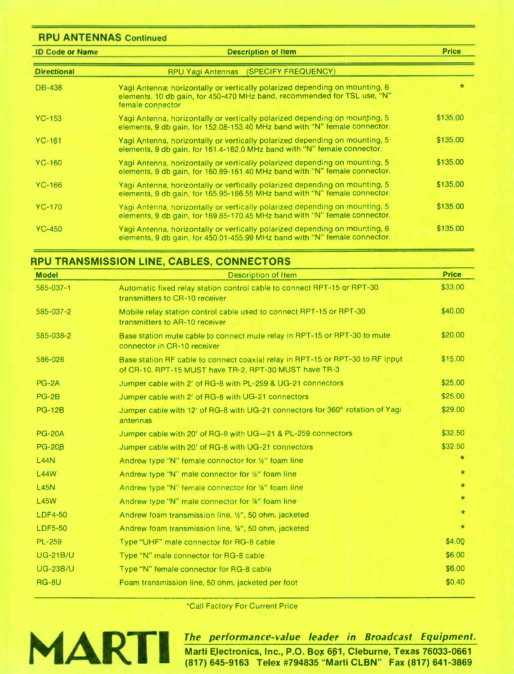| <b>RPU ANTENNAS Continued</b> |                                                                                                                                                                             |              |
|-------------------------------|-----------------------------------------------------------------------------------------------------------------------------------------------------------------------------|--------------|
| <b>ID Code or Name</b>        | <b>Description of Item</b>                                                                                                                                                  | <b>Price</b> |
| <b>Directional</b>            | (SPECIFY FREQUENCY)<br><b>RPU Yagi Antennas</b>                                                                                                                             |              |
| <b>DB-438</b>                 | Yagi Antenna, horizontally or vertically polarized depending on mounting, 6<br>elements, 10 db gain, for 450-470 MHz band, recommended for TSL use, "N"<br>female connector | $\star$      |
| $YC-153$                      | Yagi Antenna, horizontally or vertically polarized depending on mounting, 5<br>elements, 9 db gain, for 152.08-153.40 MHz band with "N" female connector.                   | \$135.00     |
| $YC-161$                      | Yagi Antenna, horizontally or vertically polarized depending on mounting, 5<br>elements, 9 db gain, for 161.4-162.0 MHz band with "N" female connector.                     | \$135.00     |
| $YC-160$                      | Yagi Antenna, horizontally or vertically polarized depending on mounting, 5<br>elements, 9 db gain, for 160.89-161.40 MHz band with "N" female connector.                   | \$135.00     |
| $YC-166$                      | Yagi Antenna, horizontally or vertically polarized depending on mounting, 5<br>elements, 9 db gain, for 165.95-166.55 MHz band with "N" female connector.                   | \$135.00     |
| $YC-170$                      | Yagi Antenna, horizontally or vertically polarized depending on mounting, 5<br>elements, 9 db gain, for 169.85-170.45 MHz band with "N" female connector.                   | \$135.00     |
| $YC-450$                      | Yagi Antenna, horizontally or vertically polarized depending on mounting, 6<br>elements, 9 db gain, for 450.01-455.99 MHz band with "N" female connector.                   | \$135.00     |

# RPU TRANSMISSION LINE, CABLES, CONNECTORS

| <b>Model</b>    | <b>Description of Item</b>                                                                                                               | <b>Price</b> |
|-----------------|------------------------------------------------------------------------------------------------------------------------------------------|--------------|
| 585-037-1       | Automatic fixed relay station control cable to connect RPT-15 or RPT-30<br>transmitters to CR-10 receiver                                | \$33.00      |
| 585-037-2       | Mobile relay station control cable used to connect RPT-15 or RPT-30<br>transmitters to AR-10 receiver                                    | \$40.00      |
| 585-038-2       | Base station mute cable to connect mute relay in RPT-15 or RPT-30 to mute<br>connector in CR-10 receiver                                 | \$20.00      |
| 586-026         | Base station RF cable to connect coaxial relay in RPT-15 or RPT-30 to RF input<br>of CR-10. RPT-15 MUST have TR-2, RPT-30 MUST have TR-3 | \$15.00      |
| PG-2A           | Jumper cable with 2' of RG-8 with PL-259 & UG-21 connectors                                                                              | \$25.00      |
| $PG-2B$         | Jumper cable with 2' of RG-8 with UG-21 connectors                                                                                       | \$25.00      |
| <b>PG-12B</b>   | Jumper cable with 12' of RG-8 with UG-21 connectors for 360° rotation of Yagi<br>antennas                                                | \$29.00      |
| <b>PG-20A</b>   | Jumper cable with 20' of RG-8 with UG-21 & PL-259 connectors                                                                             | \$32.50      |
| <b>PG-20B</b>   | Jumper cable with 20' of RG-8 with UG-21 connectors                                                                                      | \$32.50      |
| <b>L44N</b>     | Andrew type "N" female connector for 1/2" foam line                                                                                      | $\star$      |
| <b>L44W</b>     | Andrew type "N" male connector for 1/2" foam line                                                                                        | $\star$      |
| <b>L45N</b>     | Andrew type "N" female connector for %" foam line                                                                                        | $\star$      |
| <b>L45W</b>     | Andrew type "N" male connector for %" foam line                                                                                          | $\star$      |
| <b>LDF4-50</b>  | Andrew foam transmission line, 1/2", 50 ohm, jacketed                                                                                    | $\star$      |
| <b>LDF5-50</b>  | Andrew foam transmission line, %", 50 ohm, jacketed                                                                                      | $\star$      |
| <b>PL-259</b>   | Type "UHF" male connector for RG-8 cable                                                                                                 | \$4.00       |
| <b>UG-21B/U</b> | Type "N" male connector for RG-8 cable                                                                                                   | \$6.00       |
| <b>UG-23B/U</b> | Type "N" female connector for RG-8 cable                                                                                                 | \$6.00       |
| RG-8U           | Foam transmission line, 50 ohm, jacketed per foot                                                                                        | \$0.40       |

\*Call Factory For Current Price



The performance -value leader in Broadcast Equipment. Marti Electronics, Inc., P.O. Box 661, Cleburne, Texas 76033-0661 (817) 645 -9163 Telex #794835 "Marti CLBN" Fax (817) 641 -3869